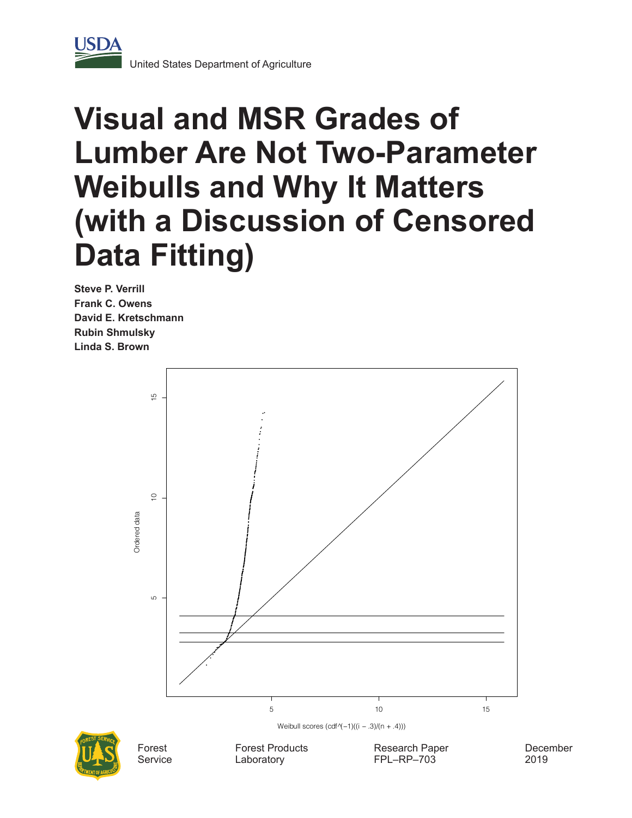

# **Visual and MSR Grades of Lumber Are Not Two-Parameter Weibulls and Why It Matters (with a Discussion of Censored Data Fitting)**

**Steve P. Verrill Frank C. Owens David E. Kretschmann Rubin Shmulsky Linda S. Brown**





**Service** 

Forest Products Laboratory

Research Paper FPL–RP–703

December 2019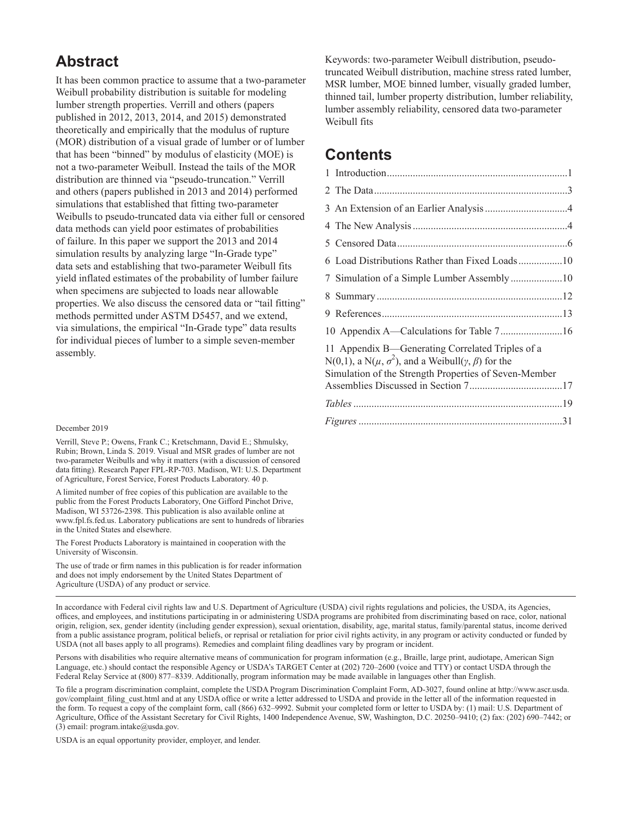# **Abstract**

It has been common practice to assume that a two-parameter Weibull probability distribution is suitable for modeling lumber strength properties. Verrill and others (papers published in 2012, 2013, 2014, and 2015) demonstrated theoretically and empirically that the modulus of rupture (MOR) distribution of a visual grade of lumber or of lumber that has been "binned" by modulus of elasticity (MOE) is not a two-parameter Weibull. Instead the tails of the MOR distribution are thinned via "pseudo-truncation." Verrill and others (papers published in 2013 and 2014) performed simulations that established that fitting two-parameter Weibulls to pseudo-truncated data via either full or censored data methods can yield poor estimates of probabilities of failure. In this paper we support the 2013 and 2014 simulation results by analyzing large "In-Grade type" data sets and establishing that two-parameter Weibull fits yield inflated estimates of the probability of lumber failure when specimens are subjected to loads near allowable properties. We also discuss the censored data or "tail fitting" methods permitted under ASTM D5457, and we extend, via simulations, the empirical "In-Grade type" data results for individual pieces of lumber to a simple seven-member assembly.

#### December 2019

Verrill, Steve P.; Owens, Frank C.; Kretschmann, David E.; Shmulsky, Rubin; Brown, Linda S. 2019. Visual and MSR grades of lumber are not two-parameter Weibulls and why it matters (with a discussion of censored data fitting). Research Paper FPL-RP-703. Madison, WI: U.S. Department of Agriculture, Forest Service, Forest Products Laboratory. 40 p.

A limited number of free copies of this publication are available to the public from the Forest Products Laboratory, One Gifford Pinchot Drive, Madison, WI 53726-2398. This publication is also available online at www.fpl.fs.fed.us. Laboratory publications are sent to hundreds of libraries in the United States and elsewhere.

The Forest Products Laboratory is maintained in cooperation with the University of Wisconsin.

The use of trade or firm names in this publication is for reader information and does not imply endorsement by the United States Department of Agriculture (USDA) of any product or service.

Keywords: two-parameter Weibull distribution, pseudotruncated Weibull distribution, machine stress rated lumber, MSR lumber, MOE binned lumber, visually graded lumber, thinned tail, lumber property distribution, lumber reliability, lumber assembly reliability, censored data two-parameter Weibull fits

# **Contents**

| 9 |                                                                                                                                                                                             |  |
|---|---------------------------------------------------------------------------------------------------------------------------------------------------------------------------------------------|--|
|   |                                                                                                                                                                                             |  |
|   | 11 Appendix B—Generating Correlated Triples of a<br>N(0,1), a N( $\mu$ , $\sigma^2$ ), and a Weibull( $\gamma$ , $\beta$ ) for the<br>Simulation of the Strength Properties of Seven-Member |  |
|   |                                                                                                                                                                                             |  |
|   |                                                                                                                                                                                             |  |
|   |                                                                                                                                                                                             |  |

In accordance with Federal civil rights law and U.S. Department of Agriculture (USDA) civil rights regulations and policies, the USDA, its Agencies, offices, and employees, and institutions participating in or administering USDA programs are prohibited from discriminating based on race, color, national origin, religion, sex, gender identity (including gender expression), sexual orientation, disability, age, marital status, family/parental status, income derived from a public assistance program, political beliefs, or reprisal or retaliation for prior civil rights activity, in any program or activity conducted or funded by USDA (not all bases apply to all programs). Remedies and complaint filing deadlines vary by program or incident.

Persons with disabilities who require alternative means of communication for program information (e.g., Braille, large print, audiotape, American Sign Language, etc.) should contact the responsible Agency or USDA's TARGET Center at (202) 720–2600 (voice and TTY) or contact USDA through the Federal Relay Service at (800) 877–8339. Additionally, program information may be made available in languages other than English.

To file a program discrimination complaint, complete the USDA Program Discrimination Complaint Form, AD-3027, found online at http://www.ascr.usda. gov/complaint\_filing\_cust.html and at any USDA office or write a letter addressed to USDA and provide in the letter all of the information requested in the form. To request a copy of the complaint form, call (866) 632–9992. Submit your completed form or letter to USDA by: (1) mail: U.S. Department of Agriculture, Office of the Assistant Secretary for Civil Rights, 1400 Independence Avenue, SW, Washington, D.C. 20250–9410; (2) fax: (202) 690–7442; or (3) email: program.intake@usda.gov.

USDA is an equal opportunity provider, employer, and lender.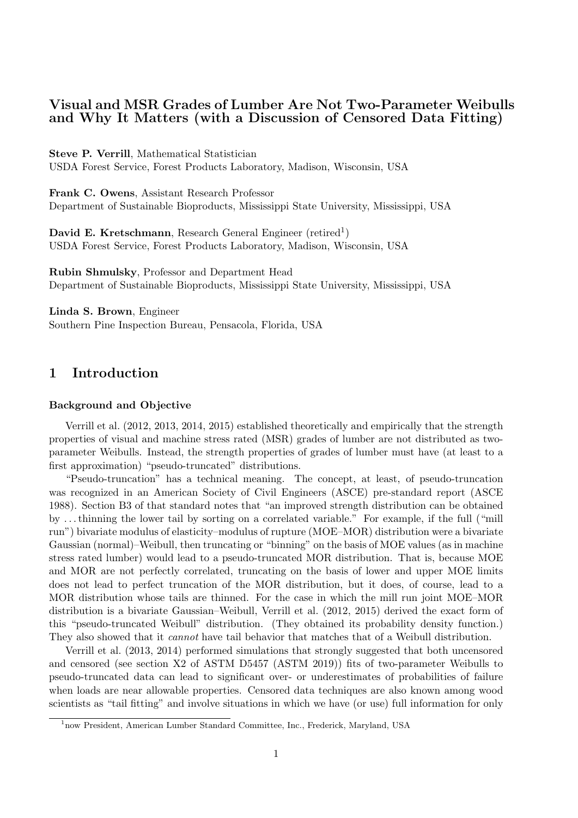## **Visual and MSR Grades of Lumber Are Not Two-Parameter Weibulls and Why It Matters (with a Discussion of Censored Data Fitting)**

**Steve P. Verrill**, Mathematical Statistician USDA Forest Service, Forest Products Laboratory, Madison, Wisconsin, USA

**Frank C. Owens**, Assistant Research Professor Department of Sustainable Bioproducts, Mississippi State University, Mississippi, USA

David E. Kretschmann, Research General Engineer (retired<sup>1</sup>) USDA Forest Service, Forest Products Laboratory, Madison, Wisconsin, USA

**Rubin Shmulsky**, Professor and Department Head Department of Sustainable Bioproducts, Mississippi State University, Mississippi, USA

**Linda S. Brown**, Engineer Southern Pine Inspection Bureau, Pensacola, Florida, USA

## **1 Introduction**

#### **Background and Objective**

Verrill et al. (2012, 2013, 2014, 2015) established theoretically and empirically that the strength properties of visual and machine stress rated (MSR) grades of lumber are not distributed as twoparameter Weibulls. Instead, the strength properties of grades of lumber must have (at least to a first approximation) "pseudo-truncated" distributions.

"Pseudo-truncation" has a technical meaning. The concept, at least, of pseudo-truncation was recognized in an American Society of Civil Engineers (ASCE) pre-standard report (ASCE 1988). Section B3 of that standard notes that "an improved strength distribution can be obtained by . . . thinning the lower tail by sorting on a correlated variable." For example, if the full ("mill run") bivariate modulus of elasticity–modulus of rupture (MOE–MOR) distribution were a bivariate Gaussian (normal)–Weibull, then truncating or "binning" on the basis of MOE values (as in machine stress rated lumber) would lead to a pseudo-truncated MOR distribution. That is, because MOE and MOR are not perfectly correlated, truncating on the basis of lower and upper MOE limits does not lead to perfect truncation of the MOR distribution, but it does, of course, lead to a MOR distribution whose tails are thinned. For the case in which the mill run joint MOE–MOR distribution is a bivariate Gaussian–Weibull, Verrill et al. (2012, 2015) derived the exact form of this "pseudo-truncated Weibull" distribution. (They obtained its probability density function.) They also showed that it *cannot* have tail behavior that matches that of a Weibull distribution.

Verrill et al. (2013, 2014) performed simulations that strongly suggested that both uncensored and censored (see section X2 of ASTM D5457 (ASTM 2019)) fits of two-parameter Weibulls to pseudo-truncated data can lead to significant over- or underestimates of probabilities of failure when loads are near allowable properties. Censored data techniques are also known among wood scientists as "tail fitting" and involve situations in which we have (or use) full information for only

<sup>&</sup>lt;sup>1</sup>now President, American Lumber Standard Committee, Inc., Frederick, Maryland, USA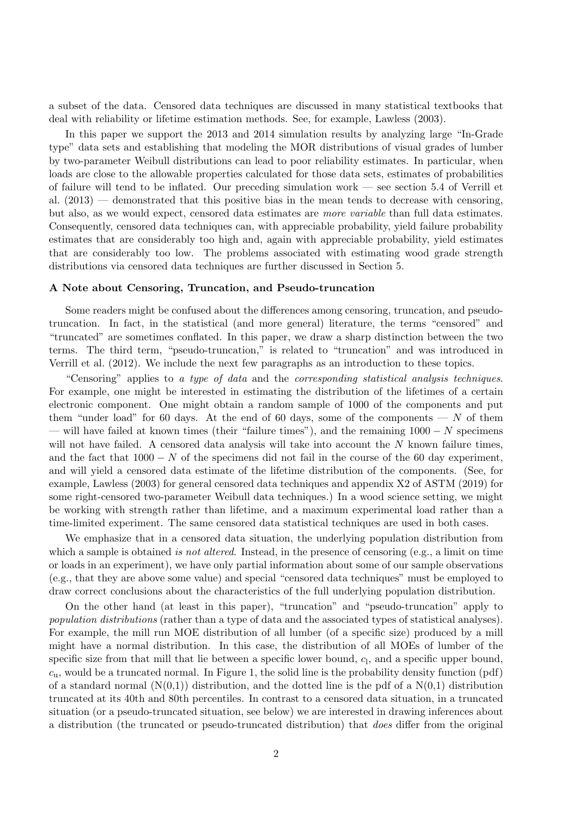a subset of the data. Censored data techniques are discussed in many statistical textbooks that deal with reliability or lifetime estimation methods. See, for example, Lawless (2003).

In this paper we support the 2013 and 2014 simulation results by analyzing large "In-Grade type" data sets and establishing that modeling the MOR distributions of visual grades of lumber by two-parameter Weibull distributions can lead to poor reliability estimates. In particular, when loads are close to the allowable properties calculated for those data sets, estimates of probabilities of failure will tend to be inflated. Our preceding simulation work — see section 5.4 of Verrill et al.  $(2013)$  — demonstrated that this positive bias in the mean tends to decrease with censoring, but also, as we would expect, censored data estimates are *more variable* than full data estimates. Consequently, censored data techniques can, with appreciable probability, yield failure probability estimates that are considerably too high and, again with appreciable probability, yield estimates that are considerably too low. The problems associated with estimating wood grade strength distributions via censored data techniques are further discussed in Section 5.

#### **A Note about Censoring, Truncation, and Pseudo-truncation**

Some readers might be confused about the differences among censoring, truncation, and pseudotruncation. In fact, in the statistical (and more general) literature, the terms "censored" and "truncated" are sometimes conflated. In this paper, we draw a sharp distinction between the two terms. The third term, "pseudo-truncation," is related to "truncation" and was introduced in Verrill et al. (2012). We include the next few paragraphs as an introduction to these topics.

"Censoring" applies to *a type of data* and the *corresponding statistical analysis techniques*. For example, one might be interested in estimating the distribution of the lifetimes of a certain electronic component. One might obtain a random sample of 1000 of the components and put them "under load" for 60 days. At the end of 60 days, some of the components  $- N$  of them — will have failed at known times (their "failure times"), and the remaining 1000 *− N* specimens will not have failed. A censored data analysis will take into account the *N* known failure times, and the fact that 1000 *− N* of the specimens did not fail in the course of the 60 day experiment, and will yield a censored data estimate of the lifetime distribution of the components. (See, for example, Lawless (2003) for general censored data techniques and appendix X2 of ASTM (2019) for some right-censored two-parameter Weibull data techniques.) In a wood science setting, we might be working with strength rather than lifetime, and a maximum experimental load rather than a time-limited experiment. The same censored data statistical techniques are used in both cases.

We emphasize that in a censored data situation, the underlying population distribution from which a sample is obtained *is not altered*. Instead, in the presence of censoring (e.g., a limit on time or loads in an experiment), we have only partial information about some of our sample observations (e.g., that they are above some value) and special "censored data techniques" must be employed to draw correct conclusions about the characteristics of the full underlying population distribution.

On the other hand (at least in this paper), "truncation" and "pseudo-truncation" apply to *population distributions* (rather than a type of data and the associated types of statistical analyses). For example, the mill run MOE distribution of all lumber (of a specific size) produced by a mill might have a normal distribution. In this case, the distribution of all MOEs of lumber of the specific size from that mill that lie between a specific lower bound,  $c<sub>1</sub>$ , and a specific upper bound, *c*u, would be a truncated normal. In Figure 1, the solid line is the probability density function (pdf) of a standard normal  $(N(0,1))$  distribution, and the dotted line is the pdf of a  $N(0,1)$  distribution truncated at its 40th and 80th percentiles. In contrast to a censored data situation, in a truncated situation (or a pseudo-truncated situation, see below) we are interested in drawing inferences about a distribution (the truncated or pseudo-truncated distribution) that *does* differ from the original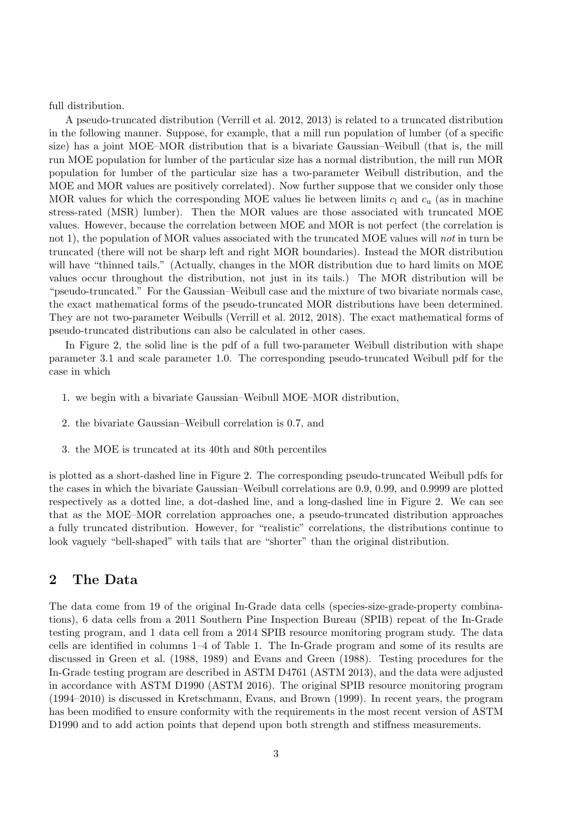full distribution.

A pseudo-truncated distribution (Verrill et al. 2012, 2013) is related to a truncated distribution in the following manner. Suppose, for example, that a mill run population of lumber (of a specific size) has a joint MOE–MOR distribution that is a bivariate Gaussian–Weibull (that is, the mill run MOE population for lumber of the particular size has a normal distribution, the mill run MOR population for lumber of the particular size has a two-parameter Weibull distribution, and the MOE and MOR values are positively correlated). Now further suppose that we consider only those MOR values for which the corresponding MOE values lie between limits  $c<sub>l</sub>$  and  $c<sub>u</sub>$  (as in machine stress-rated (MSR) lumber). Then the MOR values are those associated with truncated MOE values. However, because the correlation between MOE and MOR is not perfect (the correlation is not 1), the population of MOR values associated with the truncated MOE values will *not* in turn be truncated (there will not be sharp left and right MOR boundaries). Instead the MOR distribution will have "thinned tails." (Actually, changes in the MOR distribution due to hard limits on MOE values occur throughout the distribution, not just in its tails.) The MOR distribution will be "pseudo-truncated." For the Gaussian–Weibull case and the mixture of two bivariate normals case, the exact mathematical forms of the pseudo-truncated MOR distributions have been determined. They are not two-parameter Weibulls (Verrill et al. 2012, 2018). The exact mathematical forms of pseudo-truncated distributions can also be calculated in other cases.

In Figure 2, the solid line is the pdf of a full two-parameter Weibull distribution with shape parameter 3.1 and scale parameter 1.0. The corresponding pseudo-truncated Weibull pdf for the case in which

- 1. we begin with a bivariate Gaussian–Weibull MOE–MOR distribution,
- 2. the bivariate Gaussian–Weibull correlation is 0.7, and
- 3. the MOE is truncated at its 40th and 80th percentiles

is plotted as a short-dashed line in Figure 2. The corresponding pseudo-truncated Weibull pdfs for the cases in which the bivariate Gaussian–Weibull correlations are 0.9, 0.99, and 0.9999 are plotted respectively as a dotted line, a dot-dashed line, and a long-dashed line in Figure 2. We can see that as the MOE–MOR correlation approaches one, a pseudo-truncated distribution approaches a fully truncated distribution. However, for "realistic" correlations, the distributions continue to look vaguely "bell-shaped" with tails that are "shorter" than the original distribution.

## **2 The Data**

The data come from 19 of the original In-Grade data cells (species-size-grade-property combinations), 6 data cells from a 2011 Southern Pine Inspection Bureau (SPIB) repeat of the In-Grade testing program, and 1 data cell from a 2014 SPIB resource monitoring program study. The data cells are identified in columns 1–4 of Table 1. The In-Grade program and some of its results are discussed in Green et al. (1988, 1989) and Evans and Green (1988). Testing procedures for the In-Grade testing program are described in ASTM D4761 (ASTM 2013), and the data were adjusted in accordance with ASTM D1990 (ASTM 2016). The original SPIB resource monitoring program (1994–2010) is discussed in Kretschmann, Evans, and Brown (1999). In recent years, the program has been modified to ensure conformity with the requirements in the most recent version of ASTM D1990 and to add action points that depend upon both strength and stiffness measurements.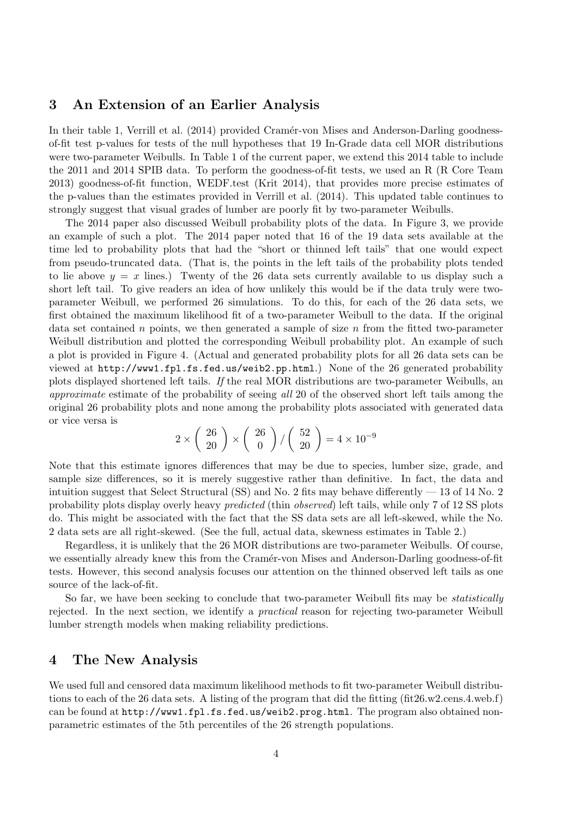#### **3 An Extension of an Earlier Analysis**

In their table 1, Verrill et al. (2014) provided Cramér-von Mises and Anderson-Darling goodnessof-fit test p-values for tests of the null hypotheses that 19 In-Grade data cell MOR distributions were two-parameter Weibulls. In Table 1 of the current paper, we extend this 2014 table to include the 2011 and 2014 SPIB data. To perform the goodness-of-fit tests, we used an R (R Core Team 2013) goodness-of-fit function, WEDF.test (Krit 2014), that provides more precise estimates of the p-values than the estimates provided in Verrill et al. (2014). This updated table continues to strongly suggest that visual grades of lumber are poorly fit by two-parameter Weibulls.

The 2014 paper also discussed Weibull probability plots of the data. In Figure 3, we provide an example of such a plot. The 2014 paper noted that 16 of the 19 data sets available at the time led to probability plots that had the "short or thinned left tails" that one would expect from pseudo-truncated data. (That is, the points in the left tails of the probability plots tended to lie above  $y = x$  lines.) Twenty of the 26 data sets currently available to us display such a short left tail. To give readers an idea of how unlikely this would be if the data truly were twoparameter Weibull, we performed 26 simulations. To do this, for each of the 26 data sets, we first obtained the maximum likelihood fit of a two-parameter Weibull to the data. If the original data set contained *n* points, we then generated a sample of size *n* from the fitted two-parameter Weibull distribution and plotted the corresponding Weibull probability plot. An example of such a plot is provided in Figure 4. (Actual and generated probability plots for all 26 data sets can be viewed at http://www1.fpl.fs.fed.us/weib2.pp.html.) None of the 26 generated probability plots displayed shortened left tails. *If* the real MOR distributions are two-parameter Weibulls, an *approximate* estimate of the probability of seeing *all* 20 of the observed short left tails among the original 26 probability plots and none among the probability plots associated with generated data or vice versa is

$$
2 \times \left(\begin{array}{c} 26\\20 \end{array}\right) \times \left(\begin{array}{c} 26\\0 \end{array}\right) / \left(\begin{array}{c} 52\\20 \end{array}\right) = 4 \times 10^{-9}
$$

Note that this estimate ignores differences that may be due to species, lumber size, grade, and sample size differences, so it is merely suggestive rather than definitive. In fact, the data and intuition suggest that Select Structural (SS) and No. 2 fits may behave differently  $-13$  of 14 No. 2 probability plots display overly heavy *predicted* (thin *observed*) left tails, while only 7 of 12 SS plots do. This might be associated with the fact that the SS data sets are all left-skewed, while the No. 2 data sets are all right-skewed. (See the full, actual data, skewness estimates in Table 2.)

Regardless, it is unlikely that the 26 MOR distributions are two-parameter Weibulls. Of course, we essentially already knew this from the Cramér-von Mises and Anderson-Darling goodness-of-fit tests. However, this second analysis focuses our attention on the thinned observed left tails as one source of the lack-of-fit.

So far, we have been seeking to conclude that two-parameter Weibull fits may be *statistically* rejected. In the next section, we identify a *practical* reason for rejecting two-parameter Weibull lumber strength models when making reliability predictions.

#### **4 The New Analysis**

We used full and censored data maximum likelihood methods to fit two-parameter Weibull distributions to each of the 26 data sets. A listing of the program that did the fitting (fit26.w2.cens.4.web.f) can be found at http://www1.fpl.fs.fed.us/weib2.prog.html. The program also obtained nonparametric estimates of the 5th percentiles of the 26 strength populations.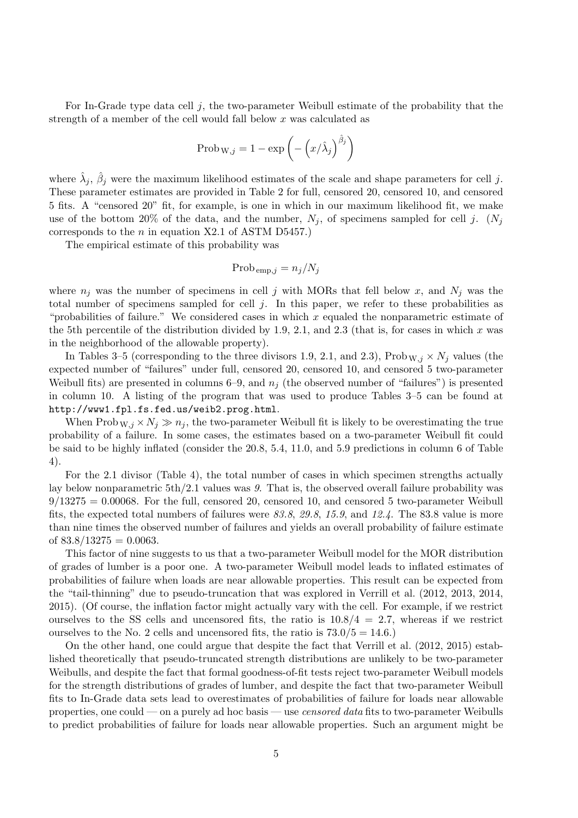For In-Grade type data cell *j*, the two-parameter Weibull estimate of the probability that the strength of a member of the cell would fall below *x* was calculated as

$$
Prob_{W,j} = 1 - exp\left(-\left(x/\hat{\lambda}_j\right)^{\hat{\beta}_j}\right)
$$

where  $\hat{\lambda}_j$ ,  $\hat{\beta}_j$  were the maximum likelihood estimates of the scale and shape parameters for cell *j*. These parameter estimates are provided in Table 2 for full, censored 20, censored 10, and censored 5 fits. A "censored 20" fit, for example, is one in which in our maximum likelihood fit, we make use of the bottom 20% of the data, and the number,  $N_j$ , of specimens sampled for cell j.  $(N_j)$ corresponds to the *n* in equation X2.1 of ASTM D5457.)

The empirical estimate of this probability was

$$
\text{Prob}_{\text{emp},j} = n_j/N_j
$$

where  $n_j$  was the number of specimens in cell *j* with MORs that fell below *x*, and  $N_j$  was the total number of specimens sampled for cell *j*. In this paper, we refer to these probabilities as "probabilities of failure." We considered cases in which *x* equaled the nonparametric estimate of the 5th percentile of the distribution divided by 1.9, 2.1, and 2.3 (that is, for cases in which *x* was in the neighborhood of the allowable property).

In Tables 3–5 (corresponding to the three divisors 1.9, 2.1, and 2.3), Prob  $W, j \times N_j$  values (the expected number of "failures" under full, censored 20, censored 10, and censored 5 two-parameter Weibull fits) are presented in columns 6–9, and  $n_j$  (the observed number of "failures") is presented in column 10. A listing of the program that was used to produce Tables 3–5 can be found at http://www1.fpl.fs.fed.us/weib2.prog.html.

When  $\text{Prob}_{W,j} \times N_j \gg n_j$ , the two-parameter Weibull fit is likely to be overestimating the true probability of a failure. In some cases, the estimates based on a two-parameter Weibull fit could be said to be highly inflated (consider the 20.8, 5.4, 11.0, and 5.9 predictions in column 6 of Table 4).

For the 2.1 divisor (Table 4), the total number of cases in which specimen strengths actually lay below nonparametric 5th/2.1 values was *9*. That is, the observed overall failure probability was  $9/13275 = 0.00068$ . For the full, censored 20, censored 10, and censored 5 two-parameter Weibull fits, the expected total numbers of failures were *83.8*, *29.8*, *15.9*, and *12.4*. The 83.8 value is more than nine times the observed number of failures and yields an overall probability of failure estimate of  $83.8/13275 = 0.0063$ .

This factor of nine suggests to us that a two-parameter Weibull model for the MOR distribution of grades of lumber is a poor one. A two-parameter Weibull model leads to inflated estimates of probabilities of failure when loads are near allowable properties. This result can be expected from the "tail-thinning" due to pseudo-truncation that was explored in Verrill et al. (2012, 2013, 2014, 2015). (Of course, the inflation factor might actually vary with the cell. For example, if we restrict ourselves to the SS cells and uncensored fits, the ratio is  $10.8/4 = 2.7$ , whereas if we restrict ourselves to the No. 2 cells and uncensored fits, the ratio is  $73.0/5 = 14.6$ .

On the other hand, one could argue that despite the fact that Verrill et al. (2012, 2015) established theoretically that pseudo-truncated strength distributions are unlikely to be two-parameter Weibulls, and despite the fact that formal goodness-of-fit tests reject two-parameter Weibull models for the strength distributions of grades of lumber, and despite the fact that two-parameter Weibull fits to In-Grade data sets lead to overestimates of probabilities of failure for loads near allowable properties, one could — on a purely ad hoc basis — use *censored data* fits to two-parameter Weibulls to predict probabilities of failure for loads near allowable properties. Such an argument might be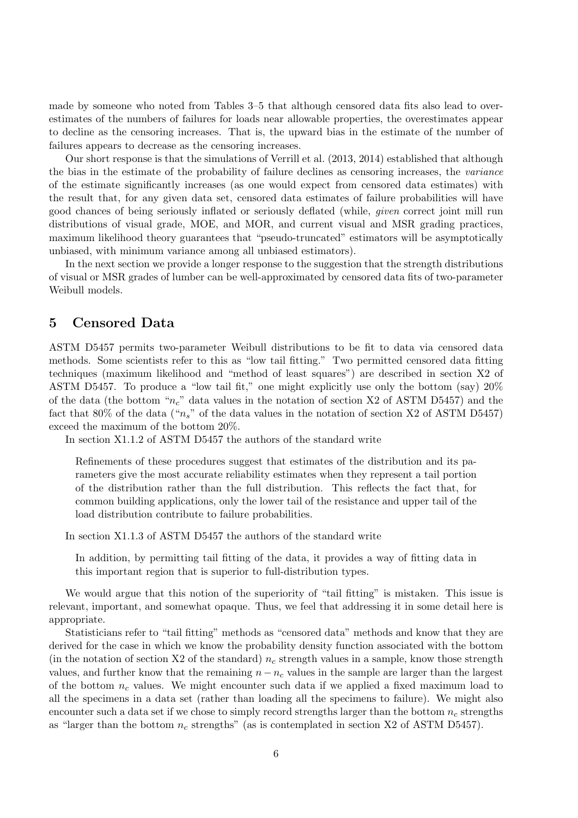made by someone who noted from Tables 3–5 that although censored data fits also lead to overestimates of the numbers of failures for loads near allowable properties, the overestimates appear to decline as the censoring increases. That is, the upward bias in the estimate of the number of failures appears to decrease as the censoring increases.

Our short response is that the simulations of Verrill et al. (2013, 2014) established that although the bias in the estimate of the probability of failure declines as censoring increases, the *variance* of the estimate significantly increases (as one would expect from censored data estimates) with the result that, for any given data set, censored data estimates of failure probabilities will have good chances of being seriously inflated or seriously deflated (while, *given* correct joint mill run distributions of visual grade, MOE, and MOR, and current visual and MSR grading practices, maximum likelihood theory guarantees that "pseudo-truncated" estimators will be asymptotically unbiased, with minimum variance among all unbiased estimators).

In the next section we provide a longer response to the suggestion that the strength distributions of visual or MSR grades of lumber can be well-approximated by censored data fits of two-parameter Weibull models.

#### **5 Censored Data**

ASTM D5457 permits two-parameter Weibull distributions to be fit to data via censored data methods. Some scientists refer to this as "low tail fitting." Two permitted censored data fitting techniques (maximum likelihood and "method of least squares") are described in section X2 of ASTM D5457. To produce a "low tail fit," one might explicitly use only the bottom (say) 20% of the data (the bottom "*nc*" data values in the notation of section X2 of ASTM D5457) and the fact that 80% of the data ("*ns*" of the data values in the notation of section X2 of ASTM D5457) exceed the maximum of the bottom 20%.

In section X1.1.2 of ASTM D5457 the authors of the standard write

Refinements of these procedures suggest that estimates of the distribution and its parameters give the most accurate reliability estimates when they represent a tail portion of the distribution rather than the full distribution. This reflects the fact that, for common building applications, only the lower tail of the resistance and upper tail of the load distribution contribute to failure probabilities.

In section X1.1.3 of ASTM D5457 the authors of the standard write

In addition, by permitting tail fitting of the data, it provides a way of fitting data in this important region that is superior to full-distribution types.

We would argue that this notion of the superiority of "tail fitting" is mistaken. This issue is relevant, important, and somewhat opaque. Thus, we feel that addressing it in some detail here is appropriate.

Statisticians refer to "tail fitting" methods as "censored data" methods and know that they are derived for the case in which we know the probability density function associated with the bottom (in the notation of section X2 of the standard) *n<sup>c</sup>* strength values in a sample, know those strength values, and further know that the remaining  $n - n_c$  values in the sample are larger than the largest of the bottom  $n_c$  values. We might encounter such data if we applied a fixed maximum load to all the specimens in a data set (rather than loading all the specimens to failure). We might also encounter such a data set if we chose to simply record strengths larger than the bottom *n<sup>c</sup>* strengths as "larger than the bottom *n<sup>c</sup>* strengths" (as is contemplated in section X2 of ASTM D5457).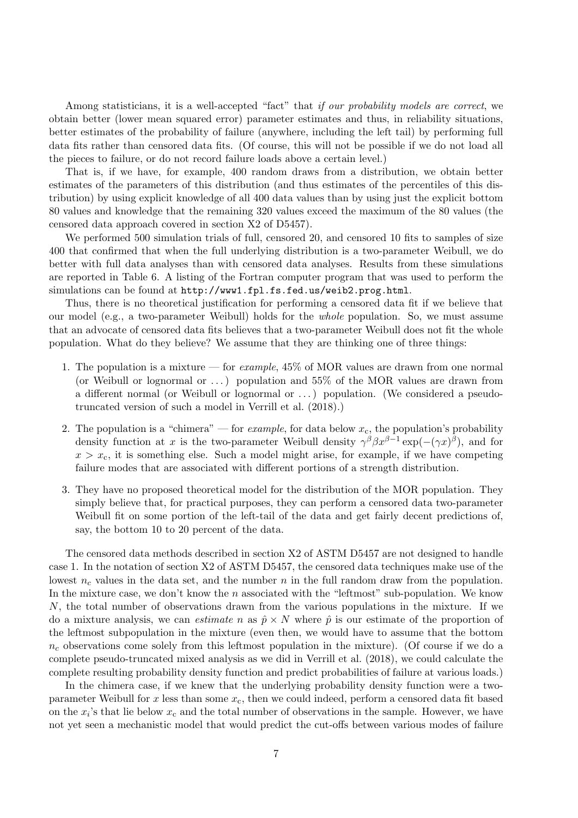Among statisticians, it is a well-accepted "fact" that *if our probability models are correct*, we obtain better (lower mean squared error) parameter estimates and thus, in reliability situations, better estimates of the probability of failure (anywhere, including the left tail) by performing full data fits rather than censored data fits. (Of course, this will not be possible if we do not load all the pieces to failure, or do not record failure loads above a certain level.)

That is, if we have, for example, 400 random draws from a distribution, we obtain better estimates of the parameters of this distribution (and thus estimates of the percentiles of this distribution) by using explicit knowledge of all 400 data values than by using just the explicit bottom 80 values and knowledge that the remaining 320 values exceed the maximum of the 80 values (the censored data approach covered in section X2 of D5457).

We performed 500 simulation trials of full, censored 20, and censored 10 fits to samples of size 400 that confirmed that when the full underlying distribution is a two-parameter Weibull, we do better with full data analyses than with censored data analyses. Results from these simulations are reported in Table 6. A listing of the Fortran computer program that was used to perform the simulations can be found at http://www1.fpl.fs.fed.us/weib2.prog.html.

Thus, there is no theoretical justification for performing a censored data fit if we believe that our model (e.g., a two-parameter Weibull) holds for the *whole* population. So, we must assume that an advocate of censored data fits believes that a two-parameter Weibull does not fit the whole population. What do they believe? We assume that they are thinking one of three things:

- 1. The population is a mixture for *example*, 45% of MOR values are drawn from one normal (or Weibull or lognormal or  $\dots$ ) population and 55% of the MOR values are drawn from a different normal (or Weibull or lognormal or . . . ) population. (We considered a pseudotruncated version of such a model in Verrill et al. (2018).)
- 2. The population is a "chimera" for *example*, for data below  $x_c$ , the population's probability density function at *x* is the two-parameter Weibull density  $\gamma^{\beta} \beta x^{\beta-1} \exp(-(\gamma x)^{\beta})$ , and for  $x > x_c$ , it is something else. Such a model might arise, for example, if we have competing failure modes that are associated with different portions of a strength distribution.
- 3. They have no proposed theoretical model for the distribution of the MOR population. They simply believe that, for practical purposes, they can perform a censored data two-parameter Weibull fit on some portion of the left-tail of the data and get fairly decent predictions of, say, the bottom 10 to 20 percent of the data.

The censored data methods described in section X2 of ASTM D5457 are not designed to handle case 1. In the notation of section X2 of ASTM D5457, the censored data techniques make use of the lowest  $n_c$  values in the data set, and the number  $n$  in the full random draw from the population. In the mixture case, we don't know the *n* associated with the "leftmost" sub-population. We know *N*, the total number of observations drawn from the various populations in the mixture. If we do a mixture analysis, we can *estimate n* as  $\hat{p} \times N$  where  $\hat{p}$  is our estimate of the proportion of the leftmost subpopulation in the mixture (even then, we would have to assume that the bottom  $n_c$  observations come solely from this leftmost population in the mixture). (Of course if we do a complete pseudo-truncated mixed analysis as we did in Verrill et al. (2018), we could calculate the complete resulting probability density function and predict probabilities of failure at various loads.)

In the chimera case, if we knew that the underlying probability density function were a twoparameter Weibull for  $x$  less than some  $x_c$ , then we could indeed, perform a censored data fit based on the  $x_i$ 's that lie below  $x_c$  and the total number of observations in the sample. However, we have not yet seen a mechanistic model that would predict the cut-offs between various modes of failure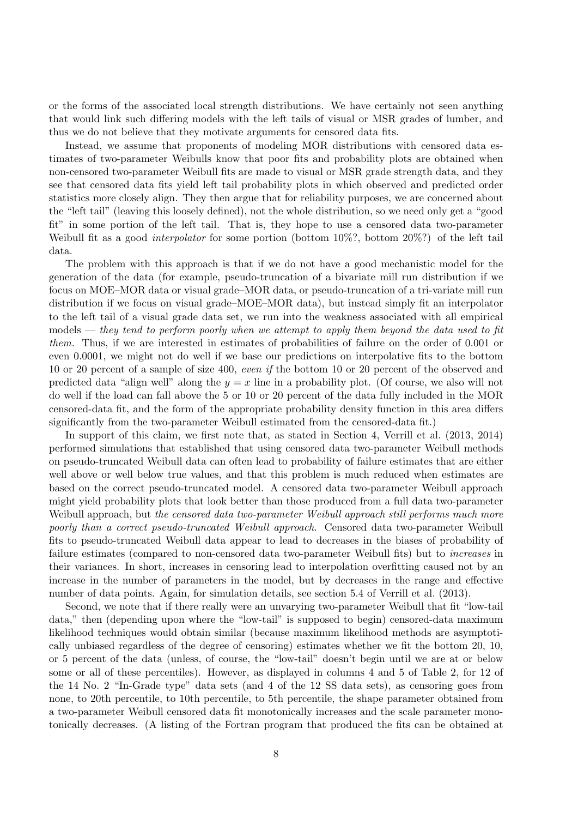or the forms of the associated local strength distributions. We have certainly not seen anything that would link such differing models with the left tails of visual or MSR grades of lumber, and thus we do not believe that they motivate arguments for censored data fits.

Instead, we assume that proponents of modeling MOR distributions with censored data estimates of two-parameter Weibulls know that poor fits and probability plots are obtained when non-censored two-parameter Weibull fits are made to visual or MSR grade strength data, and they see that censored data fits yield left tail probability plots in which observed and predicted order statistics more closely align. They then argue that for reliability purposes, we are concerned about the "left tail" (leaving this loosely defined), not the whole distribution, so we need only get a "good fit" in some portion of the left tail. That is, they hope to use a censored data two-parameter Weibull fit as a good *interpolator* for some portion (bottom 10%?, bottom 20%?) of the left tail data.

The problem with this approach is that if we do not have a good mechanistic model for the generation of the data (for example, pseudo-truncation of a bivariate mill run distribution if we focus on MOE–MOR data or visual grade–MOR data, or pseudo-truncation of a tri-variate mill run distribution if we focus on visual grade–MOE–MOR data), but instead simply fit an interpolator to the left tail of a visual grade data set, we run into the weakness associated with all empirical models — *they tend to perform poorly when we attempt to apply them beyond the data used to fit them.* Thus, if we are interested in estimates of probabilities of failure on the order of 0.001 or even 0.0001, we might not do well if we base our predictions on interpolative fits to the bottom 10 or 20 percent of a sample of size 400, *even if* the bottom 10 or 20 percent of the observed and predicted data "align well" along the  $y = x$  line in a probability plot. (Of course, we also will not do well if the load can fall above the 5 or 10 or 20 percent of the data fully included in the MOR censored-data fit, and the form of the appropriate probability density function in this area differs significantly from the two-parameter Weibull estimated from the censored-data fit.)

In support of this claim, we first note that, as stated in Section 4, Verrill et al. (2013, 2014) performed simulations that established that using censored data two-parameter Weibull methods on pseudo-truncated Weibull data can often lead to probability of failure estimates that are either well above or well below true values, and that this problem is much reduced when estimates are based on the correct pseudo-truncated model. A censored data two-parameter Weibull approach might yield probability plots that look better than those produced from a full data two-parameter Weibull approach, but *the censored data two-parameter Weibull approach still performs much more poorly than a correct pseudo-truncated Weibull approach*. Censored data two-parameter Weibull fits to pseudo-truncated Weibull data appear to lead to decreases in the biases of probability of failure estimates (compared to non-censored data two-parameter Weibull fits) but to *increases* in their variances. In short, increases in censoring lead to interpolation overfitting caused not by an increase in the number of parameters in the model, but by decreases in the range and effective number of data points. Again, for simulation details, see section 5.4 of Verrill et al. (2013).

Second, we note that if there really were an unvarying two-parameter Weibull that fit "low-tail data," then (depending upon where the "low-tail" is supposed to begin) censored-data maximum likelihood techniques would obtain similar (because maximum likelihood methods are asymptotically unbiased regardless of the degree of censoring) estimates whether we fit the bottom 20, 10, or 5 percent of the data (unless, of course, the "low-tail" doesn't begin until we are at or below some or all of these percentiles). However, as displayed in columns 4 and 5 of Table 2, for 12 of the 14 No. 2 "In-Grade type" data sets (and 4 of the 12 SS data sets), as censoring goes from none, to 20th percentile, to 10th percentile, to 5th percentile, the shape parameter obtained from a two-parameter Weibull censored data fit monotonically increases and the scale parameter monotonically decreases. (A listing of the Fortran program that produced the fits can be obtained at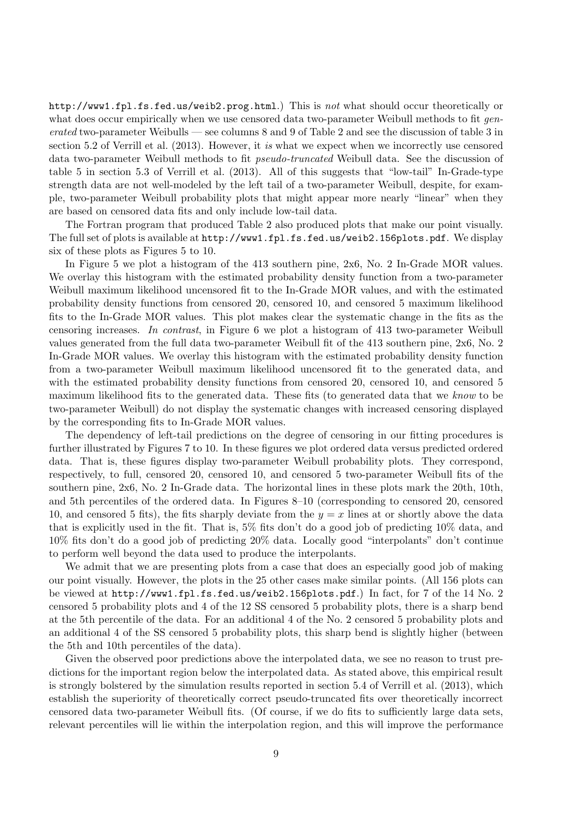http://www1.fpl.fs.fed.us/weib2.prog.html.) This is *not* what should occur theoretically or what does occur empirically when we use censored data two-parameter Weibull methods to fit *generated* two-parameter Weibulls — see columns 8 and 9 of Table 2 and see the discussion of table 3 in section 5.2 of Verrill et al. (2013). However, it *is* what we expect when we incorrectly use censored data two-parameter Weibull methods to fit *pseudo-truncated* Weibull data. See the discussion of table 5 in section 5.3 of Verrill et al. (2013). All of this suggests that "low-tail" In-Grade-type strength data are not well-modeled by the left tail of a two-parameter Weibull, despite, for example, two-parameter Weibull probability plots that might appear more nearly "linear" when they are based on censored data fits and only include low-tail data.

The Fortran program that produced Table 2 also produced plots that make our point visually. The full set of plots is available at http://www1.fpl.fs.fed.us/weib2.156plots.pdf. We display six of these plots as Figures 5 to 10.

In Figure 5 we plot a histogram of the 413 southern pine, 2x6, No. 2 In-Grade MOR values. We overlay this histogram with the estimated probability density function from a two-parameter Weibull maximum likelihood uncensored fit to the In-Grade MOR values, and with the estimated probability density functions from censored 20, censored 10, and censored 5 maximum likelihood fits to the In-Grade MOR values. This plot makes clear the systematic change in the fits as the censoring increases. *In contrast*, in Figure 6 we plot a histogram of 413 two-parameter Weibull values generated from the full data two-parameter Weibull fit of the 413 southern pine, 2x6, No. 2 In-Grade MOR values. We overlay this histogram with the estimated probability density function from a two-parameter Weibull maximum likelihood uncensored fit to the generated data, and with the estimated probability density functions from censored 20, censored 10, and censored 5 maximum likelihood fits to the generated data. These fits (to generated data that we *know* to be two-parameter Weibull) do not display the systematic changes with increased censoring displayed by the corresponding fits to In-Grade MOR values.

The dependency of left-tail predictions on the degree of censoring in our fitting procedures is further illustrated by Figures 7 to 10. In these figures we plot ordered data versus predicted ordered data. That is, these figures display two-parameter Weibull probability plots. They correspond, respectively, to full, censored 20, censored 10, and censored 5 two-parameter Weibull fits of the southern pine, 2x6, No. 2 In-Grade data. The horizontal lines in these plots mark the 20th, 10th, and 5th percentiles of the ordered data. In Figures 8–10 (corresponding to censored 20, censored 10, and censored 5 fits), the fits sharply deviate from the  $y = x$  lines at or shortly above the data that is explicitly used in the fit. That is, 5% fits don't do a good job of predicting 10% data, and 10% fits don't do a good job of predicting 20% data. Locally good "interpolants" don't continue to perform well beyond the data used to produce the interpolants.

We admit that we are presenting plots from a case that does an especially good job of making our point visually. However, the plots in the 25 other cases make similar points. (All 156 plots can be viewed at http://www1.fpl.fs.fed.us/weib2.156plots.pdf.) In fact, for 7 of the 14 No. 2 censored 5 probability plots and 4 of the 12 SS censored 5 probability plots, there is a sharp bend at the 5th percentile of the data. For an additional 4 of the No. 2 censored 5 probability plots and an additional 4 of the SS censored 5 probability plots, this sharp bend is slightly higher (between the 5th and 10th percentiles of the data).

Given the observed poor predictions above the interpolated data, we see no reason to trust predictions for the important region below the interpolated data. As stated above, this empirical result is strongly bolstered by the simulation results reported in section 5.4 of Verrill et al. (2013), which establish the superiority of theoretically correct pseudo-truncated fits over theoretically incorrect censored data two-parameter Weibull fits. (Of course, if we do fits to sufficiently large data sets, relevant percentiles will lie within the interpolation region, and this will improve the performance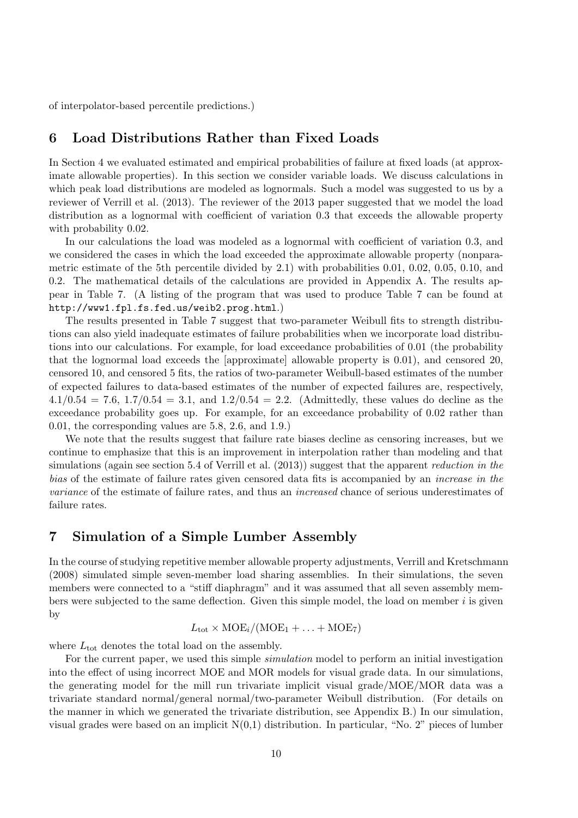of interpolator-based percentile predictions.)

## **6 Load Distributions Rather than Fixed Loads**

In Section 4 we evaluated estimated and empirical probabilities of failure at fixed loads (at approximate allowable properties). In this section we consider variable loads. We discuss calculations in which peak load distributions are modeled as lognormals. Such a model was suggested to us by a reviewer of Verrill et al. (2013). The reviewer of the 2013 paper suggested that we model the load distribution as a lognormal with coefficient of variation 0.3 that exceeds the allowable property with probability 0.02.

In our calculations the load was modeled as a lognormal with coefficient of variation 0.3, and we considered the cases in which the load exceeded the approximate allowable property (nonparametric estimate of the 5th percentile divided by 2.1) with probabilities 0.01, 0.02, 0.05, 0.10, and 0.2. The mathematical details of the calculations are provided in Appendix A. The results appear in Table 7. (A listing of the program that was used to produce Table 7 can be found at http://www1.fpl.fs.fed.us/weib2.prog.html.)

The results presented in Table 7 suggest that two-parameter Weibull fits to strength distributions can also yield inadequate estimates of failure probabilities when we incorporate load distributions into our calculations. For example, for load exceedance probabilities of 0.01 (the probability that the lognormal load exceeds the [approximate] allowable property is 0.01), and censored 20, censored 10, and censored 5 fits, the ratios of two-parameter Weibull-based estimates of the number of expected failures to data-based estimates of the number of expected failures are, respectively, 4*.*1*/*0*.*54 = 7*.*6, 1*.*7*/*0*.*54 = 3*.*1, and 1*.*2*/*0*.*54 = 2*.*2. (Admittedly, these values do decline as the exceedance probability goes up. For example, for an exceedance probability of 0.02 rather than 0.01, the corresponding values are 5.8, 2.6, and 1.9.)

We note that the results suggest that failure rate biases decline as censoring increases, but we continue to emphasize that this is an improvement in interpolation rather than modeling and that simulations (again see section 5.4 of Verrill et al. (2013)) suggest that the apparent *reduction in the bias* of the estimate of failure rates given censored data fits is accompanied by an *increase in the variance* of the estimate of failure rates, and thus an *increased* chance of serious underestimates of failure rates.

## **7 Simulation of a Simple Lumber Assembly**

In the course of studying repetitive member allowable property adjustments, Verrill and Kretschmann (2008) simulated simple seven-member load sharing assemblies. In their simulations, the seven members were connected to a "stiff diaphragm" and it was assumed that all seven assembly members were subjected to the same deflection. Given this simple model, the load on member *i* is given by

$$
L_{\rm tot} \times \text{MOE}_i/(\text{MOE}_1 + \ldots + \text{MOE}_7)
$$

where  $L_{\text{tot}}$  denotes the total load on the assembly.

For the current paper, we used this simple *simulation* model to perform an initial investigation into the effect of using incorrect MOE and MOR models for visual grade data. In our simulations, the generating model for the mill run trivariate implicit visual grade/MOE/MOR data was a trivariate standard normal/general normal/two-parameter Weibull distribution. (For details on the manner in which we generated the trivariate distribution, see Appendix B.) In our simulation, visual grades were based on an implicit  $N(0,1)$  distribution. In particular, "No. 2" pieces of lumber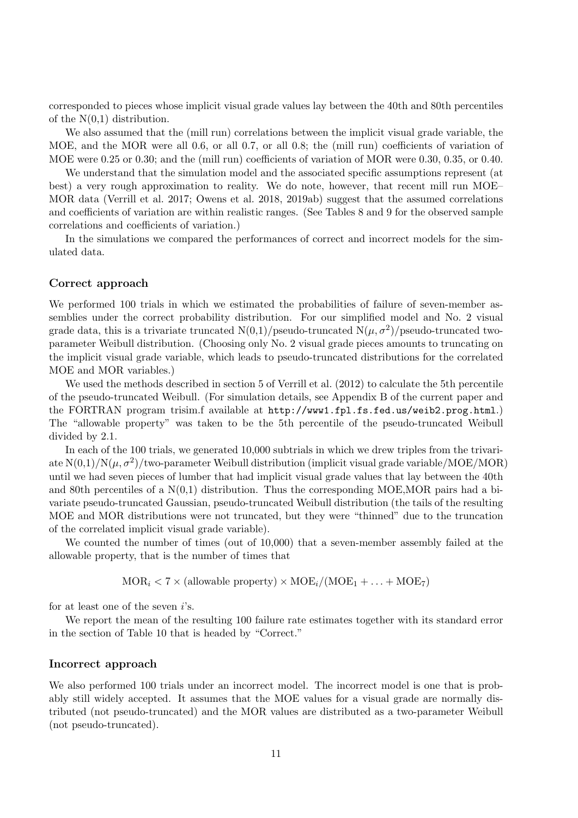corresponded to pieces whose implicit visual grade values lay between the 40th and 80th percentiles of the  $N(0,1)$  distribution.

We also assumed that the (mill run) correlations between the implicit visual grade variable, the MOE, and the MOR were all 0.6, or all 0.7, or all 0.8; the (mill run) coefficients of variation of MOE were 0.25 or 0.30; and the (mill run) coefficients of variation of MOR were 0.30, 0.35, or 0.40.

We understand that the simulation model and the associated specific assumptions represent (at best) a very rough approximation to reality. We do note, however, that recent mill run MOE– MOR data (Verrill et al. 2017; Owens et al. 2018, 2019ab) suggest that the assumed correlations and coefficients of variation are within realistic ranges. (See Tables 8 and 9 for the observed sample correlations and coefficients of variation.)

In the simulations we compared the performances of correct and incorrect models for the simulated data.

#### **Correct approach**

We performed 100 trials in which we estimated the probabilities of failure of seven-member assemblies under the correct probability distribution. For our simplified model and No. 2 visual grade data, this is a trivariate truncated  $N(0,1)/p$ seudo-truncated  $N(\mu, \sigma^2)/p$ seudo-truncated twoparameter Weibull distribution. (Choosing only No. 2 visual grade pieces amounts to truncating on the implicit visual grade variable, which leads to pseudo-truncated distributions for the correlated MOE and MOR variables.)

We used the methods described in section 5 of Verrill et al. (2012) to calculate the 5th percentile of the pseudo-truncated Weibull. (For simulation details, see Appendix B of the current paper and the FORTRAN program trisim.f available at http://www1.fpl.fs.fed.us/weib2.prog.html.) The "allowable property" was taken to be the 5th percentile of the pseudo-truncated Weibull divided by 2.1.

In each of the 100 trials, we generated 10,000 subtrials in which we drew triples from the trivariate  $N(0,1)/N(\mu,\sigma^2)/$ two-parameter Weibull distribution (implicit visual grade variable/MOE/MOR) until we had seven pieces of lumber that had implicit visual grade values that lay between the 40th and 80th percentiles of a  $N(0,1)$  distribution. Thus the corresponding MOE, MOR pairs had a bivariate pseudo-truncated Gaussian, pseudo-truncated Weibull distribution (the tails of the resulting MOE and MOR distributions were not truncated, but they were "thinned" due to the truncation of the correlated implicit visual grade variable).

We counted the number of times (out of 10,000) that a seven-member assembly failed at the allowable property, that is the number of times that

 $MOR_i < 7 \times (allowable property) \times MOE_i/(MOE_1 + ... + MOE_7)$ 

for at least one of the seven *i*'s.

We report the mean of the resulting 100 failure rate estimates together with its standard error in the section of Table 10 that is headed by "Correct."

#### **Incorrect approach**

We also performed 100 trials under an incorrect model. The incorrect model is one that is probably still widely accepted. It assumes that the MOE values for a visual grade are normally distributed (not pseudo-truncated) and the MOR values are distributed as a two-parameter Weibull (not pseudo-truncated).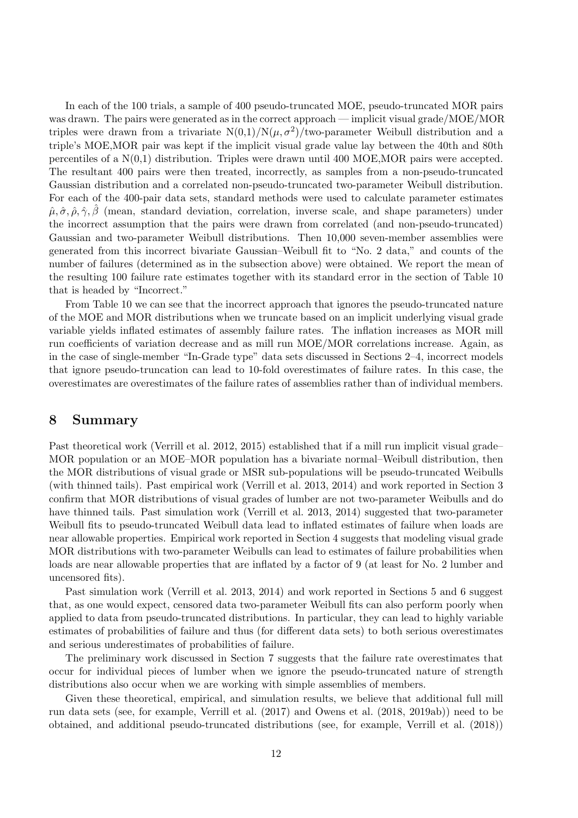In each of the 100 trials, a sample of 400 pseudo-truncated MOE, pseudo-truncated MOR pairs was drawn. The pairs were generated as in the correct approach — implicit visual grade/MOE/MOR triples were drawn from a trivariate  $N(0,1)/N(\mu,\sigma^2)/$ two-parameter Weibull distribution and a triple's MOE,MOR pair was kept if the implicit visual grade value lay between the 40th and 80th percentiles of a  $N(0,1)$  distribution. Triples were drawn until 400 MOE, MOR pairs were accepted. The resultant 400 pairs were then treated, incorrectly, as samples from a non-pseudo-truncated Gaussian distribution and a correlated non-pseudo-truncated two-parameter Weibull distribution. For each of the 400-pair data sets, standard methods were used to calculate parameter estimates  $\hat{\mu}, \hat{\sigma}, \hat{\rho}, \hat{\gamma}, \hat{\beta}$  (mean, standard deviation, correlation, inverse scale, and shape parameters) under the incorrect assumption that the pairs were drawn from correlated (and non-pseudo-truncated) Gaussian and two-parameter Weibull distributions. Then 10,000 seven-member assemblies were generated from this incorrect bivariate Gaussian–Weibull fit to "No. 2 data," and counts of the number of failures (determined as in the subsection above) were obtained. We report the mean of the resulting 100 failure rate estimates together with its standard error in the section of Table 10 that is headed by "Incorrect."

From Table 10 we can see that the incorrect approach that ignores the pseudo-truncated nature of the MOE and MOR distributions when we truncate based on an implicit underlying visual grade variable yields inflated estimates of assembly failure rates. The inflation increases as MOR mill run coefficients of variation decrease and as mill run MOE/MOR correlations increase. Again, as in the case of single-member "In-Grade type" data sets discussed in Sections 2–4, incorrect models that ignore pseudo-truncation can lead to 10-fold overestimates of failure rates. In this case, the overestimates are overestimates of the failure rates of assemblies rather than of individual members.

## **8 Summary**

Past theoretical work (Verrill et al. 2012, 2015) established that if a mill run implicit visual grade– MOR population or an MOE–MOR population has a bivariate normal–Weibull distribution, then the MOR distributions of visual grade or MSR sub-populations will be pseudo-truncated Weibulls (with thinned tails). Past empirical work (Verrill et al. 2013, 2014) and work reported in Section 3 confirm that MOR distributions of visual grades of lumber are not two-parameter Weibulls and do have thinned tails. Past simulation work (Verrill et al. 2013, 2014) suggested that two-parameter Weibull fits to pseudo-truncated Weibull data lead to inflated estimates of failure when loads are near allowable properties. Empirical work reported in Section 4 suggests that modeling visual grade MOR distributions with two-parameter Weibulls can lead to estimates of failure probabilities when loads are near allowable properties that are inflated by a factor of 9 (at least for No. 2 lumber and uncensored fits).

Past simulation work (Verrill et al. 2013, 2014) and work reported in Sections 5 and 6 suggest that, as one would expect, censored data two-parameter Weibull fits can also perform poorly when applied to data from pseudo-truncated distributions. In particular, they can lead to highly variable estimates of probabilities of failure and thus (for different data sets) to both serious overestimates and serious underestimates of probabilities of failure.

The preliminary work discussed in Section 7 suggests that the failure rate overestimates that occur for individual pieces of lumber when we ignore the pseudo-truncated nature of strength distributions also occur when we are working with simple assemblies of members.

Given these theoretical, empirical, and simulation results, we believe that additional full mill run data sets (see, for example, Verrill et al. (2017) and Owens et al. (2018, 2019ab)) need to be obtained, and additional pseudo-truncated distributions (see, for example, Verrill et al. (2018))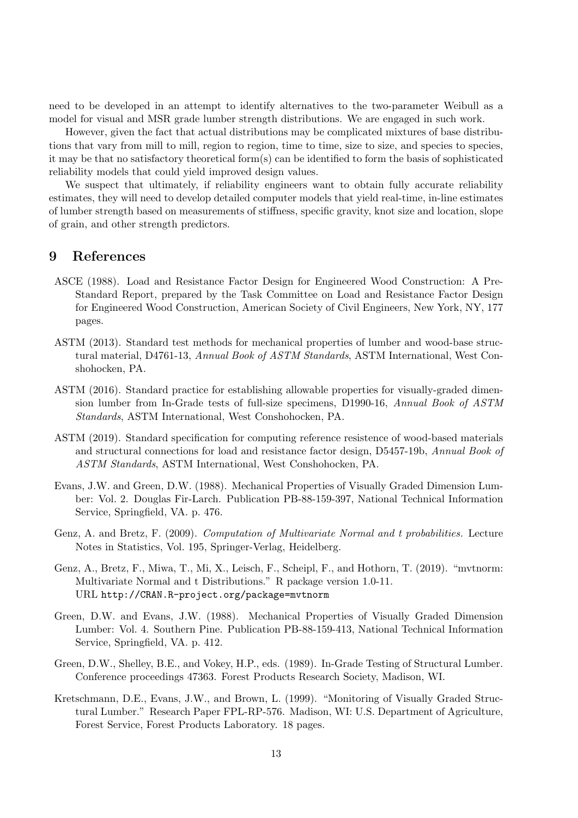need to be developed in an attempt to identify alternatives to the two-parameter Weibull as a model for visual and MSR grade lumber strength distributions. We are engaged in such work.

However, given the fact that actual distributions may be complicated mixtures of base distributions that vary from mill to mill, region to region, time to time, size to size, and species to species, it may be that no satisfactory theoretical form(s) can be identified to form the basis of sophisticated reliability models that could yield improved design values.

We suspect that ultimately, if reliability engineers want to obtain fully accurate reliability estimates, they will need to develop detailed computer models that yield real-time, in-line estimates of lumber strength based on measurements of stiffness, specific gravity, knot size and location, slope of grain, and other strength predictors.

#### **9 References**

- ASCE (1988). Load and Resistance Factor Design for Engineered Wood Construction: A Pre-Standard Report, prepared by the Task Committee on Load and Resistance Factor Design for Engineered Wood Construction, American Society of Civil Engineers, New York, NY, 177 pages.
- ASTM (2013). Standard test methods for mechanical properties of lumber and wood-base structural material, D4761-13, *Annual Book of ASTM Standards*, ASTM International, West Conshohocken, PA.
- ASTM (2016). Standard practice for establishing allowable properties for visually-graded dimension lumber from In-Grade tests of full-size specimens, D1990-16, *Annual Book of ASTM Standards*, ASTM International, West Conshohocken, PA.
- ASTM (2019). Standard specification for computing reference resistence of wood-based materials and structural connections for load and resistance factor design, D5457-19b, *Annual Book of ASTM Standards*, ASTM International, West Conshohocken, PA.
- Evans, J.W. and Green, D.W. (1988). Mechanical Properties of Visually Graded Dimension Lumber: Vol. 2. Douglas Fir-Larch. Publication PB-88-159-397, National Technical Information Service, Springfield, VA. p. 476.
- Genz, A. and Bretz, F. (2009). *Computation of Multivariate Normal and t probabilities.* Lecture Notes in Statistics, Vol. 195, Springer-Verlag, Heidelberg.
- Genz, A., Bretz, F., Miwa, T., Mi, X., Leisch, F., Scheipl, F., and Hothorn, T. (2019). "mvtnorm: Multivariate Normal and t Distributions." R package version 1.0-11. URL http://CRAN.R-project.org/package=mvtnorm
- Green, D.W. and Evans, J.W. (1988). Mechanical Properties of Visually Graded Dimension Lumber: Vol. 4. Southern Pine. Publication PB-88-159-413, National Technical Information Service, Springfield, VA. p. 412.
- Green, D.W., Shelley, B.E., and Vokey, H.P., eds. (1989). In-Grade Testing of Structural Lumber. Conference proceedings 47363. Forest Products Research Society, Madison, WI.
- Kretschmann, D.E., Evans, J.W., and Brown, L. (1999). "Monitoring of Visually Graded Structural Lumber." Research Paper FPL-RP-576. Madison, WI: U.S. Department of Agriculture, Forest Service, Forest Products Laboratory. 18 pages.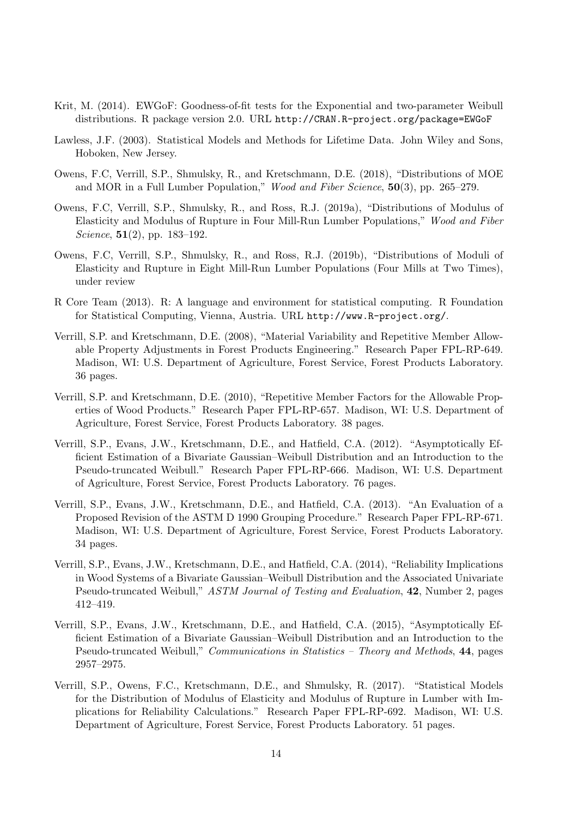- Krit, M. (2014). EWGoF: Goodness-of-fit tests for the Exponential and two-parameter Weibull distributions. R package version 2.0. URL http://CRAN.R-project.org/package=EWGoF
- Lawless, J.F. (2003). Statistical Models and Methods for Lifetime Data. John Wiley and Sons, Hoboken, New Jersey.
- Owens, F.C, Verrill, S.P., Shmulsky, R., and Kretschmann, D.E. (2018), "Distributions of MOE and MOR in a Full Lumber Population," *Wood and Fiber Science*, **50**(3), pp. 265–279.
- Owens, F.C, Verrill, S.P., Shmulsky, R., and Ross, R.J. (2019a), "Distributions of Modulus of Elasticity and Modulus of Rupture in Four Mill-Run Lumber Populations," *Wood and Fiber Science*, **51**(2), pp. 183–192.
- Owens, F.C, Verrill, S.P., Shmulsky, R., and Ross, R.J. (2019b), "Distributions of Moduli of Elasticity and Rupture in Eight Mill-Run Lumber Populations (Four Mills at Two Times), under review
- R Core Team (2013). R: A language and environment for statistical computing. R Foundation for Statistical Computing, Vienna, Austria. URL http://www.R-project.org/.
- Verrill, S.P. and Kretschmann, D.E. (2008), "Material Variability and Repetitive Member Allowable Property Adjustments in Forest Products Engineering." Research Paper FPL-RP-649. Madison, WI: U.S. Department of Agriculture, Forest Service, Forest Products Laboratory. 36 pages.
- Verrill, S.P. and Kretschmann, D.E. (2010), "Repetitive Member Factors for the Allowable Properties of Wood Products." Research Paper FPL-RP-657. Madison, WI: U.S. Department of Agriculture, Forest Service, Forest Products Laboratory. 38 pages.
- Verrill, S.P., Evans, J.W., Kretschmann, D.E., and Hatfield, C.A. (2012). "Asymptotically Efficient Estimation of a Bivariate Gaussian–Weibull Distribution and an Introduction to the Pseudo-truncated Weibull." Research Paper FPL-RP-666. Madison, WI: U.S. Department of Agriculture, Forest Service, Forest Products Laboratory. 76 pages.
- Verrill, S.P., Evans, J.W., Kretschmann, D.E., and Hatfield, C.A. (2013). "An Evaluation of a Proposed Revision of the ASTM D 1990 Grouping Procedure." Research Paper FPL-RP-671. Madison, WI: U.S. Department of Agriculture, Forest Service, Forest Products Laboratory. 34 pages.
- Verrill, S.P., Evans, J.W., Kretschmann, D.E., and Hatfield, C.A. (2014), "Reliability Implications in Wood Systems of a Bivariate Gaussian–Weibull Distribution and the Associated Univariate Pseudo-truncated Weibull," *ASTM Journal of Testing and Evaluation*, **42**, Number 2, pages 412–419.
- Verrill, S.P., Evans, J.W., Kretschmann, D.E., and Hatfield, C.A. (2015), "Asymptotically Efficient Estimation of a Bivariate Gaussian–Weibull Distribution and an Introduction to the Pseudo-truncated Weibull," *Communications in Statistics – Theory and Methods*, **44**, pages 2957–2975.
- Verrill, S.P., Owens, F.C., Kretschmann, D.E., and Shmulsky, R. (2017). "Statistical Models for the Distribution of Modulus of Elasticity and Modulus of Rupture in Lumber with Implications for Reliability Calculations." Research Paper FPL-RP-692. Madison, WI: U.S. Department of Agriculture, Forest Service, Forest Products Laboratory. 51 pages.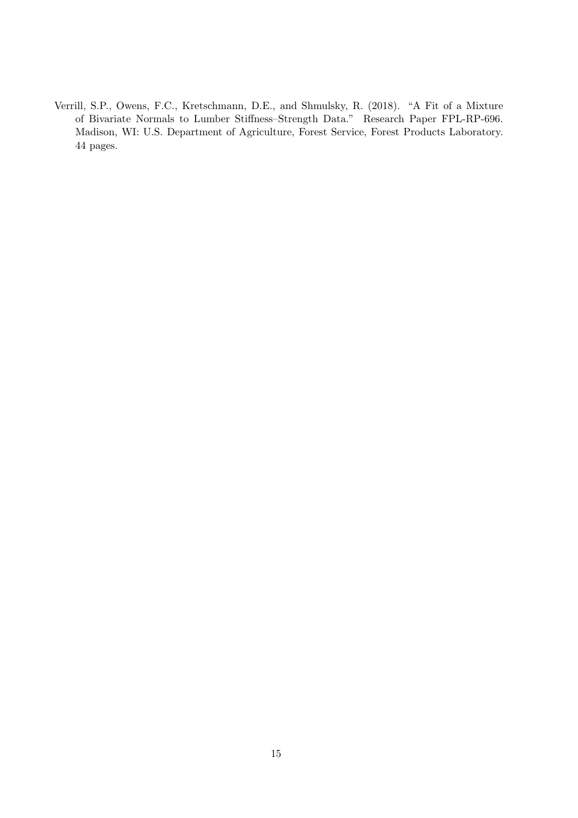Verrill, S.P., Owens, F.C., Kretschmann, D.E., and Shmulsky, R. (2018). "A Fit of a Mixture of Bivariate Normals to Lumber Stiffness–Strength Data." Research Paper FPL-RP-696. Madison, WI: U.S. Department of Agriculture, Forest Service, Forest Products Laboratory. 44 pages.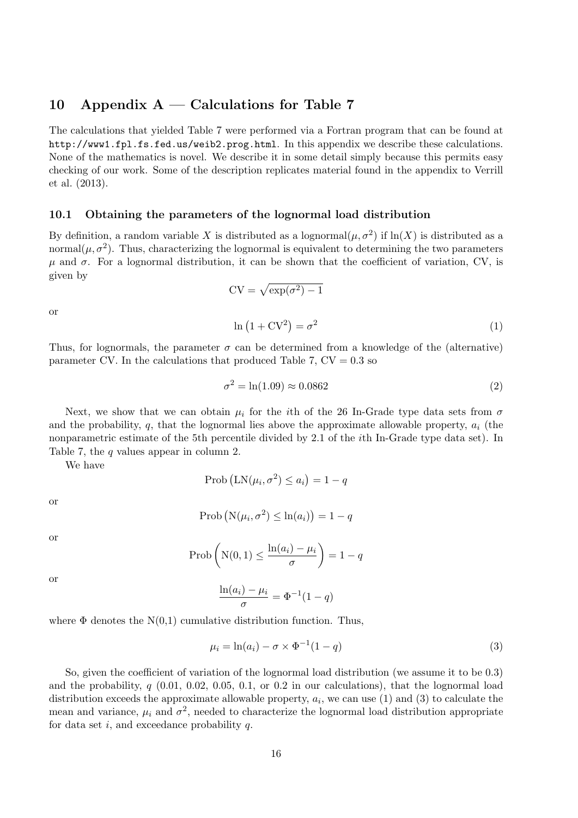## **10 Appendix A — Calculations for Table 7**

The calculations that yielded Table 7 were performed via a Fortran program that can be found at http://www1.fpl.fs.fed.us/weib2.prog.html. In this appendix we describe these calculations. None of the mathematics is novel. We describe it in some detail simply because this permits easy checking of our work. Some of the description replicates material found in the appendix to Verrill et al. (2013).

#### **10.1 Obtaining the parameters of the lognormal load distribution**

By definition, a random variable X is distributed as a lognormal $(\mu, \sigma^2)$  if  $\ln(X)$  is distributed as a normal $(\mu, \sigma^2)$ . Thus, characterizing the lognormal is equivalent to determining the two parameters  $\mu$  and  $\sigma$ . For a lognormal distribution, it can be shown that the coefficient of variation, CV, is given by

$$
CV = \sqrt{\exp(\sigma^2) - 1}
$$
  

$$
\ln(1 + CV^2) = \sigma^2
$$
 (1)

or

Thus, for lognormals, the parameter  $\sigma$  can be determined from a knowledge of the (alternative) parameter CV. In the calculations that produced Table 7,  $CV = 0.3$  so

$$
\sigma^2 = \ln(1.09) \approx 0.0862 \tag{2}
$$

Next, we show that we can obtain  $\mu_i$  for the *i*th of the 26 In-Grade type data sets from  $\sigma$ and the probability,  $q$ , that the lognormal lies above the approximate allowable property,  $a_i$  (the nonparametric estimate of the 5th percentile divided by 2.1 of the *i*th In-Grade type data set). In Table 7, the *q* values appear in column 2.

We have

$$
\text{Prob}\left(\text{LN}(\mu_i, \sigma^2) \le a_i\right) = 1 - q
$$

or

$$
Prob (N(\mu_i, \sigma^2) \leq ln(a_i)) = 1 - q
$$

or

$$
\operatorname{Prob}\left(\mathrm{N}(0,1)\leq \frac{\ln(a_i)-\mu_i}{\sigma}\right)=1-q
$$

or

$$
\frac{\operatorname{m}(u_i) - \mu_i}{\sigma} = \Phi^{-1}(1 - q)
$$

where  $\Phi$  denotes the N(0,1) cumulative distribution function. Thus,

ln(*ai*) *− µ<sup>i</sup>*

$$
\mu_i = \ln(a_i) - \sigma \times \Phi^{-1}(1 - q) \tag{3}
$$

So, given the coefficient of variation of the lognormal load distribution (we assume it to be 0.3) and the probability,  $q$  (0.01, 0.02, 0.05, 0.1, or 0.2 in our calculations), that the lognormal load distribution exceeds the approximate allowable property,  $a_i$ , we can use (1) and (3) to calculate the mean and variance,  $\mu_i$  and  $\sigma^2$ , needed to characterize the lognormal load distribution appropriate for data set *i*, and exceedance probability *q*.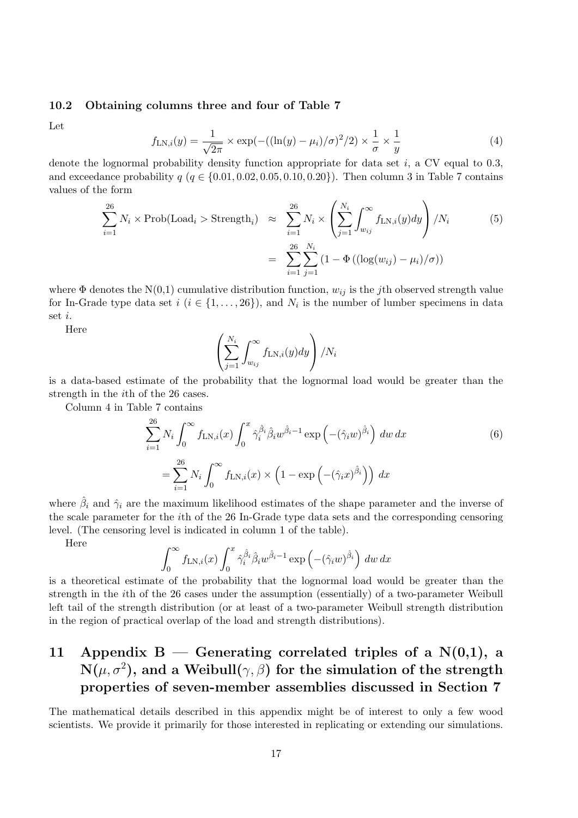#### **10.2 Obtaining columns three and four of Table 7**

Let

$$
f_{\text{LN},i}(y) = \frac{1}{\sqrt{2\pi}} \times \exp(-((\ln(y) - \mu_i)/\sigma)^2/2) \times \frac{1}{\sigma} \times \frac{1}{y}
$$
(4)

denote the lognormal probability density function appropriate for data set *i*, a CV equal to 0.3, and exceedance probability  $q \ (q \in \{0.01, 0.02, 0.05, 0.10, 0.20\})$ . Then column 3 in Table 7 contains values of the form

$$
\sum_{i=1}^{26} N_i \times \text{Prob}(\text{Load}_i > \text{Strength}_i) \approx \sum_{i=1}^{26} N_i \times \left( \sum_{j=1}^{N_i} \int_{w_{ij}}^{\infty} f_{\text{LN},i}(y) dy \right) / N_i \tag{5}
$$
\n
$$
= \sum_{i=1}^{26} \sum_{j=1}^{N_i} \left( 1 - \Phi\left( (\log(w_{ij}) - \mu_i)/\sigma \right) \right)
$$

where  $\Phi$  denotes the N(0,1) cumulative distribution function,  $w_{ij}$  is the *j*th observed strength value for In-Grade type data set  $i$  ( $i \in \{1, \ldots, 26\}$ ), and  $N_i$  is the number of lumber specimens in data set *i*.

Here

$$
\left(\sum_{j=1}^{N_i}\int_{w_{ij}}^{\infty}f_{\text{LN},i}(y)dy\right)/N_i
$$

is a data-based estimate of the probability that the lognormal load would be greater than the strength in the *i*th of the 26 cases.

Column 4 in Table 7 contains

$$
\sum_{i=1}^{26} N_i \int_0^\infty f_{\text{LN},i}(x) \int_0^x \hat{\gamma}_i^{\hat{\beta}_i} \hat{\beta}_i w^{\hat{\beta}_i-1} \exp\left(-(\hat{\gamma}_i w)^{\hat{\beta}_i}\right) dw dx
$$
\n
$$
= \sum_{i=1}^{26} N_i \int_0^\infty f_{\text{LN},i}(x) \times \left(1 - \exp\left(-(\hat{\gamma}_i x)^{\hat{\beta}_i}\right)\right) dx
$$
\n(6)

where  $\hat{\beta}_i$  and  $\hat{\gamma}_i$  are the maximum likelihood estimates of the shape parameter and the inverse of the scale parameter for the *i*th of the 26 In-Grade type data sets and the corresponding censoring level. (The censoring level is indicated in column 1 of the table).

Here

$$
\int_0^\infty f_{\text{LN},i}(x) \int_0^x \hat{\gamma}_i^{\hat{\beta}_i} \hat{\beta}_i w^{\hat{\beta}_i-1} \exp\left(-(\hat{\gamma}_i w)^{\hat{\beta}_i}\right) dw dx
$$

is a theoretical estimate of the probability that the lognormal load would be greater than the strength in the *i*th of the 26 cases under the assumption (essentially) of a two-parameter Weibull left tail of the strength distribution (or at least of a two-parameter Weibull strength distribution in the region of practical overlap of the load and strength distributions).

## **11 Appendix B — Generating correlated triples of a N(0,1), a**  $\mathbf{N}(\mu, \sigma^2),$  and a  $\mathbf{Weibull}(\gamma, \beta)$  for the simulation of the strength **properties of seven-member assemblies discussed in Section 7**

The mathematical details described in this appendix might be of interest to only a few wood scientists. We provide it primarily for those interested in replicating or extending our simulations.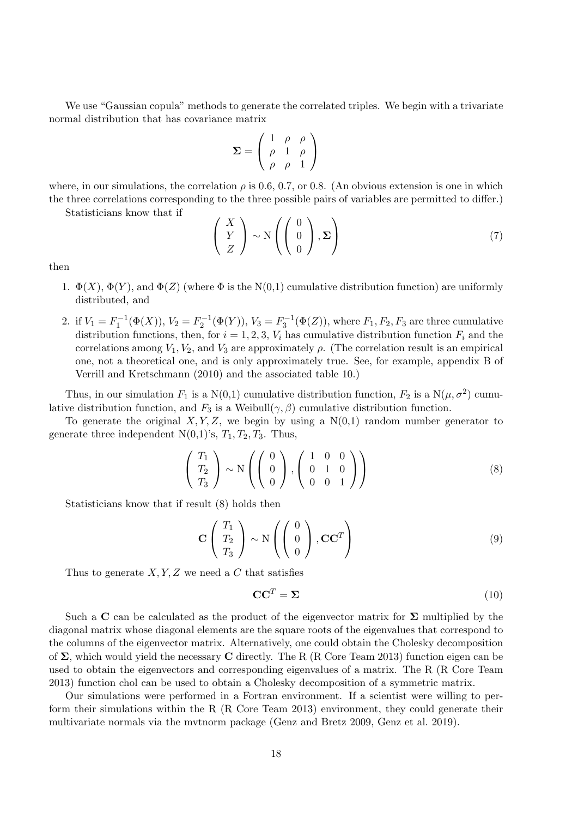We use "Gaussian copula" methods to generate the correlated triples. We begin with a trivariate normal distribution that has covariance matrix

$$
\Sigma = \left(\begin{array}{ccc} 1 & \rho & \rho \\ \rho & 1 & \rho \\ \rho & \rho & 1 \end{array}\right)
$$

where, in our simulations, the correlation  $\rho$  is 0.6, 0.7, or 0.8. (An obvious extension is one in which the three correlations corresponding to the three possible pairs of variables are permitted to differ.)

Statisticians know that if

$$
\begin{pmatrix}\nX \\
Y \\
Z\n\end{pmatrix} \sim N\left(\begin{pmatrix}\n0 \\
0 \\
0\n\end{pmatrix}, \Sigma\right)
$$
\n(7)

then

- 1.  $\Phi(X)$ ,  $\Phi(Y)$ , and  $\Phi(Z)$  (where  $\Phi$  is the N(0,1) cumulative distribution function) are uniformly distributed, and
- 2. if  $V_1 = F_1^{-1}(\Phi(X))$ ,  $V_2 = F_2^{-1}(\Phi(Y))$ ,  $V_3 = F_3^{-1}(\Phi(Z))$ , where  $F_1, F_2, F_3$  are three cumulative distribution functions, then, for  $i = 1, 2, 3, V_i$  has cumulative distribution function  $F_i$  and the correlations among  $V_1, V_2$ , and  $V_3$  are approximately  $\rho$ . (The correlation result is an empirical one, not a theoretical one, and is only approximately true. See, for example, appendix B of Verrill and Kretschmann (2010) and the associated table 10.)

Thus, in our simulation  $F_1$  is a  $N(0,1)$  cumulative distribution function,  $F_2$  is a  $N(\mu, \sigma^2)$  cumulative distribution function, and  $F_3$  is a Weibull( $\gamma$ ,  $\beta$ ) cumulative distribution function.

To generate the original  $X, Y, Z$ , we begin by using a  $N(0,1)$  random number generator to generate three independent  $N(0,1)$ 's,  $T_1, T_2, T_3$ . Thus,

$$
\begin{pmatrix} T_1 \\ T_2 \\ T_3 \end{pmatrix} \sim N \left( \begin{pmatrix} 0 \\ 0 \\ 0 \end{pmatrix}, \begin{pmatrix} 1 & 0 & 0 \\ 0 & 1 & 0 \\ 0 & 0 & 1 \end{pmatrix} \right)
$$
 (8)

Statisticians know that if result (8) holds then

$$
\mathbf{C} \begin{pmatrix} T_1 \\ T_2 \\ T_3 \end{pmatrix} \sim \mathbf{N} \left( \begin{pmatrix} 0 \\ 0 \\ 0 \end{pmatrix}, \mathbf{C} \mathbf{C}^T \right)
$$
(9)

Thus to generate *X, Y, Z* we need a *C* that satisfies

$$
\mathbf{CC}^T = \mathbf{\Sigma} \tag{10}
$$

Such a **C** can be calculated as the product of the eigenvector matrix for **Σ** multiplied by the diagonal matrix whose diagonal elements are the square roots of the eigenvalues that correspond to the columns of the eigenvector matrix. Alternatively, one could obtain the Cholesky decomposition of **Σ**, which would yield the necessary **C** directly. The R (R Core Team 2013) function eigen can be used to obtain the eigenvectors and corresponding eigenvalues of a matrix. The R (R Core Team 2013) function chol can be used to obtain a Cholesky decomposition of a symmetric matrix.

Our simulations were performed in a Fortran environment. If a scientist were willing to perform their simulations within the R (R Core Team 2013) environment, they could generate their multivariate normals via the mvtnorm package (Genz and Bretz 2009, Genz et al. 2019).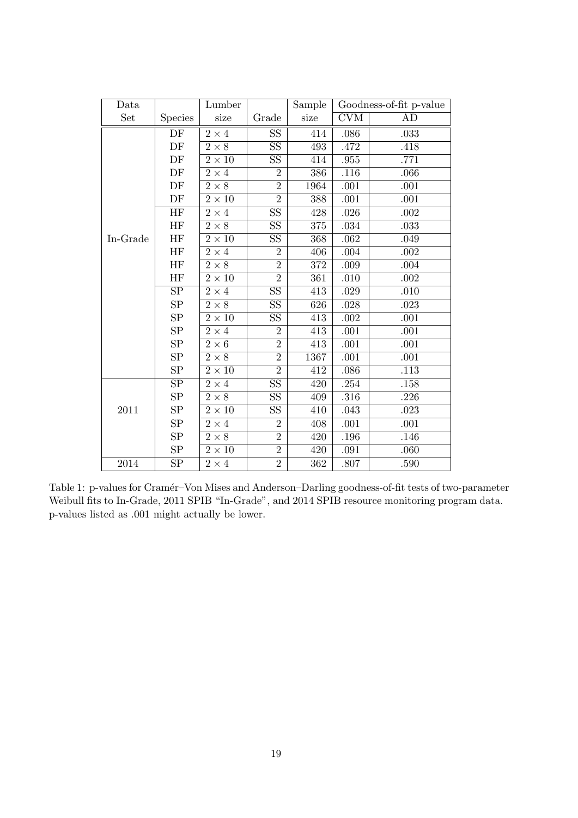| Data     |                        | Lumber                 |                        | Sample |            | Goodness-of-fit p-value |
|----------|------------------------|------------------------|------------------------|--------|------------|-------------------------|
| Set      | <b>Species</b>         | size                   | Grade                  | size   | <b>CVM</b> | AD                      |
|          | $\overline{\rm DF}$    | $2\times 4$            | $\rm SS$               | 414    | .086       | .033                    |
|          | DF                     | $2\times8$             | $\overline{\text{SS}}$ | 493    | .472       | .418                    |
|          | DF                     | $2\times10$            | $\overline{\text{SS}}$ | 414    | .955       | .771                    |
|          | DF                     | $2\times 4$            | $\overline{2}$         | 386    | .116       | .066                    |
|          | $\rm DF$               | $2\times 8$            | $\overline{2}$         | 1964   | $.001\,$   | .001                    |
|          | DF                     | $2\times10$            | $\overline{2}$         | 388    | .001       | .001                    |
|          | $\overline{\text{HF}}$ | $2\times 4$            | $\overline{\text{SS}}$ | 428    | .026       | .002                    |
|          | $\rm HF$               | $2\times 8$            | $\overline{\text{SS}}$ | 375    | .034       | .033                    |
| In-Grade | <b>HF</b>              | $2\times10$            | $\overline{\text{SS}}$ | 368    | .062       | .049                    |
|          | $\rm HF$               | $2\times 4$            | $\overline{2}$         | 406    | .004       | .002                    |
|          | HF                     | $2\times 8$            | $\overline{2}$         | 372    | $.009$     | .004                    |
|          | HF                     | $2\times10$            | $\overline{2}$         | 361    | .010       | .002                    |
|          | $\overline{\text{SP}}$ | $2\times 4$            | $\overline{\text{SS}}$ | 413    | .029       | .010                    |
|          | SP                     | $2\times 8$            | $\overline{\text{SS}}$ | 626    | .028       | .023                    |
|          | ${\rm SP}$             | $\overline{2\times10}$ | $\overline{\text{SS}}$ | 413    | .002       | .001                    |
|          | SP                     | $2\times 4$            | $\overline{2}$         | 413    | .001       | .001                    |
|          | SP                     | $2\times6$             | $\overline{2}$         | 413    | .001       | .001                    |
|          | ${\rm SP}$             | $2\times 8$            | $\overline{2}$         | 1367   | $.001\,$   | .001                    |
|          | SP                     | $2\times10$            | $\overline{2}$         | 412    | .086       | .113                    |
|          | SP                     | $2\times 4$            | $\overline{\text{SS}}$ | 420    | .254       | .158                    |
|          | SP                     | $2 \times 8$           | SS                     | 409    | .316       | .226                    |
| 2011     | ${\rm SP}$             | $2\times10$            | $\overline{\text{SS}}$ | 410    | .043       | .023                    |
|          | ${\rm SP}$             | $2\times 4$            | $\overline{2}$         | 408    | .001       | .001                    |
|          | SP                     | $2 \times 8$           | $\overline{2}$         | 420    | .196       | .146                    |
|          | ${\rm SP}$             | $2\times10$            | $\overline{2}$         | 420    | .091       | .060                    |
| 2014     | SP                     | $2\times 4$            | $\overline{2}$         | 362    | .807       | .590                    |

Table 1: p-values for Cramér–Von Mises and Anderson–Darling goodness-of-fit tests of two-parameter Weibull fits to In-Grade, 2011 SPIB "In-Grade", and 2014 SPIB resource monitoring program data. p-values listed as .001 might actually be lower.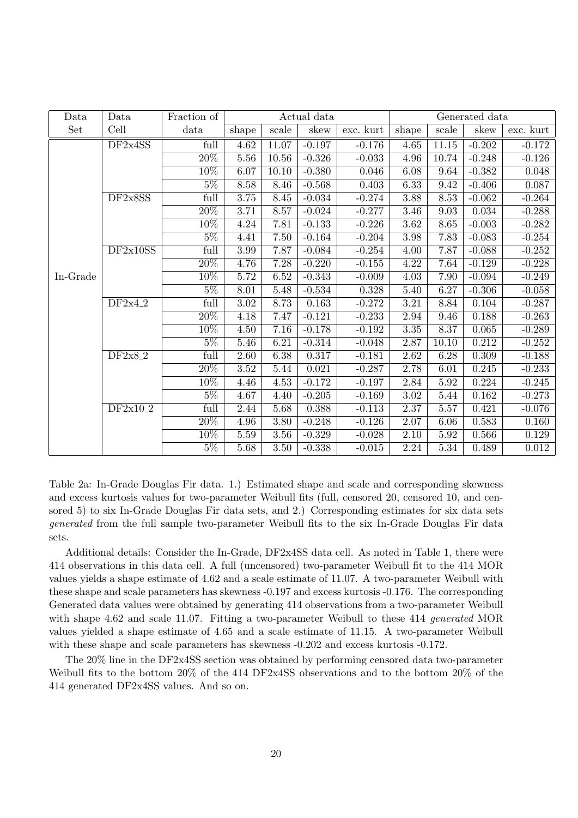| Data     | Data      | Fraction of       |                   |           | Actual data |           |                   |           | Generated data |           |
|----------|-----------|-------------------|-------------------|-----------|-------------|-----------|-------------------|-----------|----------------|-----------|
| Set      | Cell      | data              | shape             | scale     | skew        | exc. kurt | shape             | scale     | skew           | exc. kurt |
|          | DF2x4SS   | full              | 4.62              | $11.07\,$ | $-0.197$    | $-0.176$  | $4.65\,$          | $11.15\,$ | $-0.202$       | $-0.172$  |
|          |           | 20\%              | 5.56              | 10.56     | $-0.326$    | $-0.033$  | 4.96              | 10.74     | $-0.248$       | $-0.126$  |
|          |           | $10\%$            | 6.07              | 10.10     | $-0.380$    | 0.046     | 6.08              | 9.64      | $-0.382$       | 0.048     |
|          |           | $5\%$             | 8.58              | 8.46      | $-0.568$    | 0.403     | 6.33              | 9.42      | $-0.406$       | 0.087     |
|          | DF2x8SS   | full              | 3.75              | 8.45      | $-0.034$    | $-0.274$  | 3.88              | 8.53      | $-0.062$       | $-0.264$  |
|          |           | $\overline{20\%}$ | 3.71              | 8.57      | $-0.024$    | $-0.277$  | 3.46              | 9.03      | 0.034          | $-0.288$  |
|          |           | $10\%$            | 4.24              | 7.81      | $-0.133$    | $-0.226$  | $\overline{3.62}$ | 8.65      | $-0.003$       | $-0.282$  |
|          |           | $5\%$             | 4.41              | 7.50      | $-0.164$    | $-0.204$  | $3.98\,$          | 7.83      | $-0.083$       | $-0.254$  |
|          | DF2x10SS  | full              | 3.99              | 7.87      | $-0.084$    | $-0.254$  | 4.00              | 7.87      | $-0.088$       | $-0.252$  |
|          |           | $20\%$            | 4.76              | 7.28      | $-0.220$    | $-0.155$  | 4.22              | 7.64      | $-0.129$       | $-0.228$  |
| In-Grade |           | 10%               | 5.72              | 6.52      | $-0.343$    | $-0.009$  | 4.03              | 7.90      | $-0.094$       | $-0.249$  |
|          |           | $5\%$             | 8.01              | 5.48      | $-0.534$    | 0.328     | 5.40              | 6.27      | $-0.306$       | $-0.058$  |
|          | DF2x4.2   | full              | $\overline{3.02}$ | 8.73      | 0.163       | $-0.272$  | $\overline{3.21}$ | 8.84      | 0.104          | $-0.287$  |
|          |           | $20\%$            | 4.18              | 7.47      | $-0.121$    | $-0.233$  | 2.94              | 9.46      | 0.188          | $-0.263$  |
|          |           | $10\%$            | 4.50              | 7.16      | $-0.178$    | $-0.192$  | 3.35              | 8.37      | 0.065          | $-0.289$  |
|          |           | $5\%$             | 5.46              | 6.21      | $-0.314$    | $-0.048$  | 2.87              | 10.10     | 0.212          | $-0.252$  |
|          | $DF2x8-2$ | full              | 2.60              | 6.38      | 0.317       | $-0.181$  | 2.62              | 6.28      | 0.309          | $-0.188$  |
|          |           | $\overline{20\%}$ | $\overline{3.52}$ | 5.44      | 0.021       | $-0.287$  | 2.78              | 6.01      | 0.245          | $-0.233$  |
|          |           | $10\%$            | 4.46              | 4.53      | $-0.172$    | $-0.197$  | 2.84              | 5.92      | 0.224          | $-0.245$  |
|          |           | $5\%$             | 4.67              | 4.40      | $-0.205$    | $-0.169$  | $3.02\,$          | 5.44      | 0.162          | $-0.273$  |
|          | DF2x10.2  | full              | 2.44              | 5.68      | 0.388       | $-0.113$  | 2.37              | 5.57      | 0.421          | $-0.076$  |
|          |           | $20\%$            | 4.96              | 3.80      | $-0.248$    | $-0.126$  | 2.07              | 6.06      | 0.583          | 0.160     |
|          |           | $10\%$            | 5.59              | 3.56      | $-0.329$    | $-0.028$  | 2.10              | 5.92      | 0.566          | 0.129     |
|          |           | $5\%$             | 5.68              | $3.50\,$  | $-0.338$    | $-0.015$  | 2.24              | 5.34      | 0.489          | 0.012     |

Table 2a: In-Grade Douglas Fir data. 1.) Estimated shape and scale and corresponding skewness and excess kurtosis values for two-parameter Weibull fits (full, censored 20, censored 10, and censored 5) to six In-Grade Douglas Fir data sets, and 2.) Corresponding estimates for six data sets *generated* from the full sample two-parameter Weibull fits to the six In-Grade Douglas Fir data sets.

Additional details: Consider the In-Grade, DF2x4SS data cell. As noted in Table 1, there were 414 observations in this data cell. A full (uncensored) two-parameter Weibull fit to the 414 MOR values yields a shape estimate of 4.62 and a scale estimate of 11.07. A two-parameter Weibull with these shape and scale parameters has skewness -0.197 and excess kurtosis -0.176. The corresponding Generated data values were obtained by generating 414 observations from a two-parameter Weibull with shape 4.62 and scale 11.07. Fitting a two-parameter Weibull to these 414 *generated* MOR values yielded a shape estimate of 4.65 and a scale estimate of 11.15. A two-parameter Weibull with these shape and scale parameters has skewness -0.202 and excess kurtosis -0.172.

The 20% line in the DF2x4SS section was obtained by performing censored data two-parameter Weibull fits to the bottom 20% of the 414 DF2x4SS observations and to the bottom 20% of the 414 generated DF2x4SS values. And so on.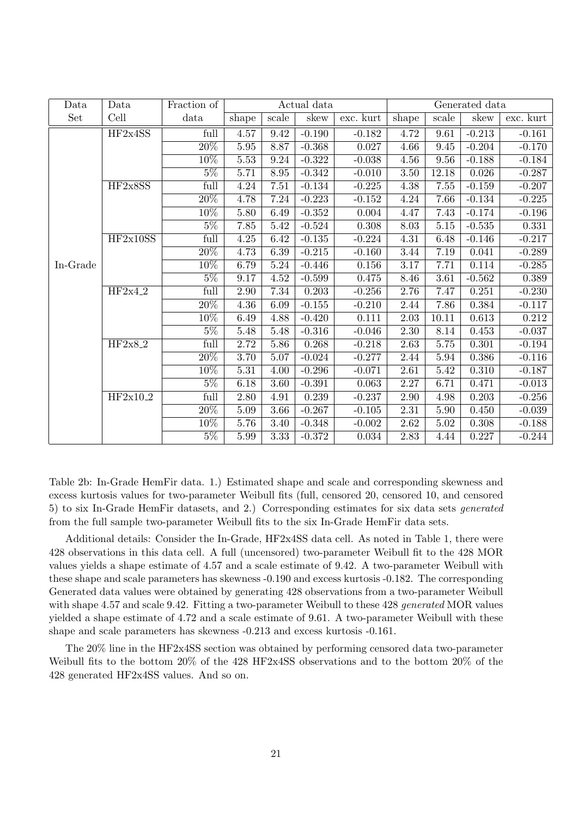| Data     | Data       | Fraction of       |          |          | Actual data |           |          |          | Generated data |           |
|----------|------------|-------------------|----------|----------|-------------|-----------|----------|----------|----------------|-----------|
| Set      | Cell       | data              | shape    | scale    | skew        | exc. kurt | shape    | scale    | skew           | exc. kurt |
|          | HF2x4SS    | full              | 4.57     | 9.42     | $-0.190$    | $-0.182$  | 4.72     | 9.61     | $-0.213$       | $-0.161$  |
|          |            | $\overline{20\%}$ | 5.95     | 8.87     | $-0.368$    | 0.027     | 4.66     | 9.45     | $-0.204$       | $-0.170$  |
|          |            | $10\%$            | $5.53\,$ | 9.24     | $-0.322$    | $-0.038$  | 4.56     | 9.56     | $-0.188$       | $-0.184$  |
|          |            | $5\%$             | 5.71     | 8.95     | $-0.342$    | $-0.010$  | 3.50     | 12.18    | 0.026          | $-0.287$  |
|          | HF2x8SS    | full              | 4.24     | 7.51     | $-0.134$    | $-0.225$  | 4.38     | 7.55     | $-0.159$       | $-0.207$  |
|          |            | $\overline{20\%}$ | 4.78     | 7.24     | $-0.223$    | $-0.152$  | 4.24     | 7.66     | $-0.134$       | $-0.225$  |
|          |            | 10%               | 5.80     | 6.49     | $-0.352$    | 0.004     | 4.47     | 7.43     | $-0.174$       | $-0.196$  |
|          |            | $5\%$             | 7.85     | 5.42     | $-0.524$    | 0.308     | 8.03     | $5.15\,$ | $-0.535$       | 0.331     |
|          | HF2x10SS   | full              | 4.25     | 6.42     | $-0.135$    | $-0.224$  | 4.31     | 6.48     | $-0.146$       | $-0.217$  |
|          |            | 20%               | 4.73     | 6.39     | $-0.215$    | $-0.160$  | 3.44     | 7.19     | 0.041          | $-0.289$  |
| In-Grade |            | $10\%$            | 6.79     | $5.24\,$ | $-0.446$    | 0.156     | $3.17\,$ | 7.71     | 0.114          | $-0.285$  |
|          |            | $\overline{5\%}$  | 9.17     | $4.52\,$ | $-0.599$    | 0.475     | 8.46     | 3.61     | $-0.562$       | 0.389     |
|          | $HF2x4_2$  | full              | 2.90     | 7.34     | 0.203       | $-0.256$  | 2.76     | 7.47     | 0.251          | $-0.230$  |
|          |            | $20\%$            | 4.36     | 6.09     | $-0.155$    | $-0.210$  | 2.44     | 7.86     | 0.384          | $-0.117$  |
|          |            | $10\%$            | 6.49     | 4.88     | $-0.420$    | 0.111     | 2.03     | 10.11    | 0.613          | 0.212     |
|          |            | $5\%$             | 5.48     | 5.48     | $-0.316$    | $-0.046$  | 2.30     | 8.14     | 0.453          | $-0.037$  |
|          | $HF2x8-2$  | full              | 2.72     | 5.86     | 0.268       | $-0.218$  | 2.63     | 5.75     | 0.301          | $-0.194$  |
|          |            | $\overline{20\%}$ | 3.70     | $5.07\,$ | $-0.024$    | $-0.277$  | 2.44     | 5.94     | 0.386          | $-0.116$  |
|          |            | 10%               | 5.31     | 4.00     | $-0.296$    | $-0.071$  | 2.61     | 5.42     | 0.310          | $-0.187$  |
|          |            | $5\%$             | 6.18     | 3.60     | $-0.391$    | 0.063     | $2.27\,$ | 6.71     | 0.471          | $-0.013$  |
|          | $HF2x10_2$ | full              | 2.80     | 4.91     | 0.239       | $-0.237$  | 2.90     | 4.98     | 0.203          | $-0.256$  |
|          |            | $20\%$            | 5.09     | 3.66     | $-0.267$    | $-0.105$  | 2.31     | 5.90     | 0.450          | $-0.039$  |
|          |            | $10\%$            | 5.76     | 3.40     | $-0.348$    | $-0.002$  | 2.62     | 5.02     | 0.308          | $-0.188$  |
|          |            | $5\%$             | 5.99     | 3.33     | $-0.372$    | 0.034     | 2.83     | 4.44     | 0.227          | $-0.244$  |

Table 2b: In-Grade HemFir data. 1.) Estimated shape and scale and corresponding skewness and excess kurtosis values for two-parameter Weibull fits (full, censored 20, censored 10, and censored 5) to six In-Grade HemFir datasets, and 2.) Corresponding estimates for six data sets *generated* from the full sample two-parameter Weibull fits to the six In-Grade HemFir data sets.

Additional details: Consider the In-Grade, HF2x4SS data cell. As noted in Table 1, there were 428 observations in this data cell. A full (uncensored) two-parameter Weibull fit to the 428 MOR values yields a shape estimate of 4.57 and a scale estimate of 9.42. A two-parameter Weibull with these shape and scale parameters has skewness -0.190 and excess kurtosis -0.182. The corresponding Generated data values were obtained by generating 428 observations from a two-parameter Weibull with shape 4.57 and scale 9.42. Fitting a two-parameter Weibull to these 428 *generated* MOR values yielded a shape estimate of 4.72 and a scale estimate of 9.61. A two-parameter Weibull with these shape and scale parameters has skewness -0.213 and excess kurtosis -0.161.

The 20% line in the HF2x4SS section was obtained by performing censored data two-parameter Weibull fits to the bottom 20% of the 428 HF2x4SS observations and to the bottom 20% of the 428 generated HF2x4SS values. And so on.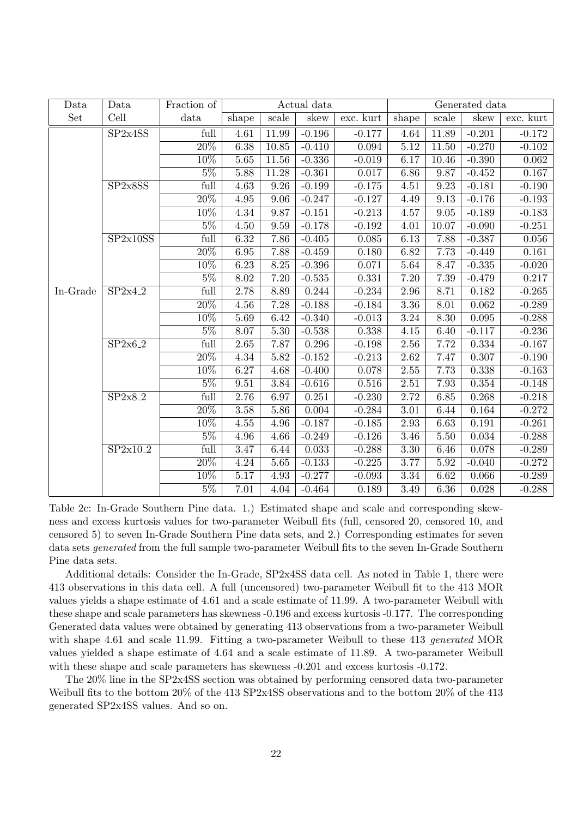| Data     | Data     | Fraction of       |                   |                   | Actual data |           |       |       | Generated data |           |
|----------|----------|-------------------|-------------------|-------------------|-------------|-----------|-------|-------|----------------|-----------|
| Set      | Cell     | data              | shape             | scale             | skew        | exc. kurt | shape | scale | skew           | exc. kurt |
|          | SP2x4SS  | full              | 4.61              | 11.99             | $-0.196$    | $-0.177$  | 4.64  | 11.89 | $-0.201$       | $-0.172$  |
|          |          | 20%               | 6.38              | 10.85             | $-0.410$    | 0.094     | 5.12  | 11.50 | $-0.270$       | $-0.102$  |
|          |          | 10%               | 5.65              | 11.56             | $-0.336$    | $-0.019$  | 6.17  | 10.46 | $-0.390$       | 0.062     |
|          |          | $5\%$             | 5.88              | 11.28             | $-0.361$    | 0.017     | 6.86  | 9.87  | $-0.452$       | 0.167     |
|          | SP2x8SS  | full              | $\overline{4.63}$ | 9.26              | $-0.199$    | $-0.175$  | 4.51  | 9.23  | $-0.181$       | $-0.190$  |
|          |          | $\overline{20\%}$ | $4.95\,$          | 9.06              | $-0.247$    | $-0.127$  | 4.49  | 9.13  | $-0.176$       | $-0.193$  |
|          |          | 10%               | 4.34              | 9.87              | $-0.151$    | $-0.213$  | 4.57  | 9.05  | $-0.189$       | $-0.183$  |
|          |          | $5\%$             | 4.50              | 9.59              | $-0.178$    | $-0.192$  | 4.01  | 10.07 | $-0.090$       | $-0.251$  |
|          | SP2x10SS | full              | 6.32              | 7.86              | $-0.405$    | 0.085     | 6.13  | 7.88  | $-0.387$       | 0.056     |
|          |          | $\overline{20\%}$ | 6.95              | 7.88              | $-0.459$    | 0.180     | 6.82  | 7.73  | $-0.449$       | 0.161     |
|          |          | 10%               | 6.23              | $8.25\,$          | $-0.396$    | 0.071     | 5.64  | 8.47  | $-0.335$       | $-0.020$  |
|          |          | $5\%$             | 8.02              | 7.20              | $-0.535$    | 0.331     | 7.20  | 7.39  | $-0.479$       | 0.217     |
| In-Grade | SP2x4.2  | full              | 2.78              | 8.89              | 0.244       | $-0.234$  | 2.96  | 8.71  | 0.182          | $-0.265$  |
|          |          | $20\%$            | 4.56              | 7.28              | $-0.188$    | $-0.184$  | 3.36  | 8.01  | 0.062          | $-0.289$  |
|          |          | 10%               | 5.69              | 6.42              | $-0.340$    | $-0.013$  | 3.24  | 8.30  | 0.095          | $-0.288$  |
|          |          | $5\%$             | 8.07              | 5.30              | $-0.538$    | 0.338     | 4.15  | 6.40  | $-0.117$       | $-0.236$  |
|          | SP2x6.2  | full              | 2.65              | 7.87              | 0.296       | $-0.198$  | 2.56  | 7.72  | 0.334          | $-0.167$  |
|          |          | $\overline{20\%}$ | 4.34              | 5.82              | $-0.152$    | $-0.213$  | 2.62  | 7.47  | 0.307          | $-0.190$  |
|          |          | $10\%$            | 6.27              | 4.68              | $-0.400$    | 0.078     | 2.55  | 7.73  | 0.338          | $-0.163$  |
|          |          | $5\%$             | 9.51              | 3.84              | $-0.616$    | 0.516     | 2.51  | 7.93  | 0.354          | $-0.148$  |
|          | SP2x8.2  | full              | 2.76              | 6.97              | 0.251       | $-0.230$  | 2.72  | 6.85  | 0.268          | $-0.218$  |
|          |          | 20%               | 3.58              | 5.86              | 0.004       | $-0.284$  | 3.01  | 6.44  | 0.164          | $-0.272$  |
|          |          | 10%               | 4.55              | 4.96              | $-0.187$    | $-0.185$  | 2.93  | 6.63  | 0.191          | $-0.261$  |
|          |          | $5\%$             | 4.96              | 4.66              | $-0.249$    | $-0.126$  | 3.46  | 5.50  | 0.034          | $-0.288$  |
|          | SP2x10.2 | full              | 3.47              | 6.44              | 0.033       | $-0.288$  | 3.30  | 6.46  | 0.078          | $-0.289$  |
|          |          | 20%               | 4.24              | $\overline{5.65}$ | $-0.133$    | $-0.225$  | 3.77  | 5.92  | $-0.040$       | $-0.272$  |
|          |          | $10\%$            | $\overline{5.17}$ | 4.93              | $-0.277$    | $-0.093$  | 3.34  | 6.62  | 0.066          | $-0.289$  |
|          |          | $5\%$             | 7.01              | 4.04              | $-0.464$    | 0.189     | 3.49  | 6.36  | 0.028          | $-0.288$  |

Table 2c: In-Grade Southern Pine data. 1.) Estimated shape and scale and corresponding skewness and excess kurtosis values for two-parameter Weibull fits (full, censored 20, censored 10, and censored 5) to seven In-Grade Southern Pine data sets, and 2.) Corresponding estimates for seven data sets *generated* from the full sample two-parameter Weibull fits to the seven In-Grade Southern Pine data sets.

Additional details: Consider the In-Grade, SP2x4SS data cell. As noted in Table 1, there were 413 observations in this data cell. A full (uncensored) two-parameter Weibull fit to the 413 MOR values yields a shape estimate of 4.61 and a scale estimate of 11.99. A two-parameter Weibull with these shape and scale parameters has skewness -0.196 and excess kurtosis -0.177. The corresponding Generated data values were obtained by generating 413 observations from a two-parameter Weibull with shape 4.61 and scale 11.99. Fitting a two-parameter Weibull to these 413 *generated* MOR values yielded a shape estimate of 4.64 and a scale estimate of 11.89. A two-parameter Weibull with these shape and scale parameters has skewness -0.201 and excess kurtosis -0.172.

The 20% line in the SP2x4SS section was obtained by performing censored data two-parameter Weibull fits to the bottom 20% of the 413 SP2x4SS observations and to the bottom 20% of the 413 generated SP2x4SS values. And so on.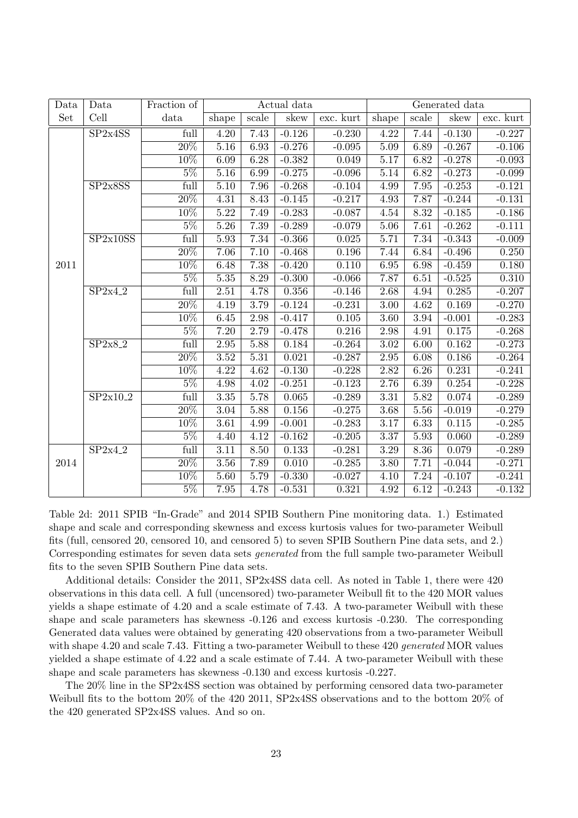| Data | Data     | Fraction of                |                   |                   | Actual data |           |                   |          | Generated data |           |
|------|----------|----------------------------|-------------------|-------------------|-------------|-----------|-------------------|----------|----------------|-----------|
| Set  | Cell     | data                       | shape             | scale             | skew        | exc. kurt | shape             | scale    | skew           | exc. kurt |
|      | SP2x4SS  | full                       | 4.20              | 7.43              | $-0.126$    | $-0.230$  | 4.22              | 7.44     | $-0.130$       | $-0.227$  |
|      |          | $\sqrt{20\%}$              | 5.16              | 6.93              | $-0.276$    | $-0.095$  | 5.09              | 6.89     | $-0.267$       | $-0.106$  |
|      |          | 10%                        | 6.09              | 6.28              | $-0.382$    | 0.049     | 5.17              | 6.82     | $-0.278$       | $-0.093$  |
|      |          | $5\%$                      | 5.16              | 6.99              | $-0.275$    | $-0.096$  | 5.14              | 6.82     | $-0.273$       | $-0.099$  |
|      | SP2x8SS  | full                       | 5.10              | 7.96              | $-0.268$    | $-0.104$  | 4.99              | 7.95     | $-0.253$       | $-0.121$  |
|      |          | $\overline{20\%}$          | 4.31              | 8.43              | $-0.145$    | $-0.217$  | 4.93              | 7.87     | $-0.244$       | $-0.131$  |
|      |          | $10\%$                     | 5.22              | 7.49              | $-0.283$    | $-0.087$  | $4.54\,$          | 8.32     | $-0.185$       | $-0.186$  |
|      |          | $5\%$                      | 5.26              | 7.39              | $-0.289$    | $-0.079$  | 5.06              | 7.61     | $-0.262$       | $-0.111$  |
|      | SP2x10SS | full                       | 5.93              | 7.34              | $-0.366$    | 0.025     | 5.71              | 7.34     | $-0.343$       | $-0.009$  |
|      |          | 20%                        | 7.06              | 7.10              | $-0.468$    | 0.196     | 7.44              | 6.84     | $-0.496$       | 0.250     |
| 2011 |          | 10%                        | 6.48              | 7.38              | $-0.420$    | 0.110     | 6.95              | 6.98     | $-0.459$       | 0.180     |
|      | SP2x4.2  | $5\%$                      | $\overline{5.35}$ | 8.29              | $-0.300$    | $-0.066$  | 7.87              | 6.51     | $-0.525$       | 0.310     |
|      |          | full                       | $\overline{2.51}$ | 4.78              | 0.356       | $-0.146$  | $2.68\,$          | 4.94     | 0.285          | $-0.207$  |
|      |          | $\overline{20\%}$          | 4.19              | $\overline{3.79}$ | $-0.124$    | $-0.231$  | $\overline{3.00}$ | 4.62     | 0.169          | $-0.270$  |
|      |          | 10%                        | 6.45              | 2.98              | $-0.417$    | 0.105     | $\overline{3.60}$ | 3.94     | $-0.001$       | $-0.283$  |
|      |          | $5\%$                      | 7.20              | 2.79              | $-0.478$    | 0.216     | 2.98              | 4.91     | 0.175          | $-0.268$  |
|      | SP2x8.2  | $\overline{\mathrm{full}}$ | 2.95              | 5.88              | 0.184       | $-0.264$  | 3.02              | 6.00     | 0.162          | $-0.273$  |
|      |          | $\overline{20\%}$          | $\overline{3.52}$ | $\overline{5.31}$ | 0.021       | $-0.287$  | 2.95              | 6.08     | 0.186          | $-0.264$  |
|      |          | $10\%$                     | 4.22              | 4.62              | $-0.130$    | $-0.228$  | $2.82\,$          | 6.26     | 0.231          | $-0.241$  |
|      |          | $5\%$                      | 4.98              | 4.02              | $-0.251$    | $-0.123$  | 2.76              | 6.39     | 0.254          | $-0.228$  |
|      | SP2x10.2 | full                       | 3.35              | 5.78              | 0.065       | $-0.289$  | 3.31              | 5.82     | 0.074          | $-0.289$  |
|      |          | $20\%$                     | $\overline{3.04}$ | 5.88              | 0.156       | $-0.275$  | 3.68              | 5.56     | $-0.019$       | $-0.279$  |
|      |          | 10%                        | 3.61              | 4.99              | $-0.001$    | $-0.283$  | 3.17              | 6.33     | 0.115          | $-0.285$  |
|      |          | $5\%$                      | 4.40              | 4.12              | $-0.162$    | $-0.205$  | $3.37\,$          | $5.93\,$ | 0.060          | $-0.289$  |
|      | SP2x4.2  | $\overline{full}$          | 3.11              | 8.50              | 0.133       | $-0.281$  | 3.29              | 8.36     | 0.079          | $-0.289$  |
| 2014 |          | $\overline{20\%}$          | 3.56              | 7.89              | 0.010       | $-0.285$  | $3.80\,$          | 7.71     | $-0.044$       | $-0.271$  |
|      |          | 10%                        | 5.60              | 5.79              | $-0.330$    | $-0.027$  | 4.10              | 7.24     | $-0.107$       | $-0.241$  |
|      |          | $5\%$                      | 7.95              | 4.78              | $-0.531$    | 0.321     | 4.92              | 6.12     | $-0.243$       | $-0.132$  |

Table 2d: 2011 SPIB "In-Grade" and 2014 SPIB Southern Pine monitoring data. 1.) Estimated shape and scale and corresponding skewness and excess kurtosis values for two-parameter Weibull fits (full, censored 20, censored 10, and censored 5) to seven SPIB Southern Pine data sets, and 2.) Corresponding estimates for seven data sets *generated* from the full sample two-parameter Weibull fits to the seven SPIB Southern Pine data sets.

Additional details: Consider the 2011, SP2x4SS data cell. As noted in Table 1, there were 420 observations in this data cell. A full (uncensored) two-parameter Weibull fit to the 420 MOR values yields a shape estimate of 4.20 and a scale estimate of 7.43. A two-parameter Weibull with these shape and scale parameters has skewness -0.126 and excess kurtosis -0.230. The corresponding Generated data values were obtained by generating 420 observations from a two-parameter Weibull with shape 4.20 and scale 7.43. Fitting a two-parameter Weibull to these 420 *generated* MOR values yielded a shape estimate of 4.22 and a scale estimate of 7.44. A two-parameter Weibull with these shape and scale parameters has skewness -0.130 and excess kurtosis -0.227.

The 20% line in the SP2x4SS section was obtained by performing censored data two-parameter Weibull fits to the bottom 20% of the 420 2011, SP2x4SS observations and to the bottom 20% of the 420 generated SP2x4SS values. And so on.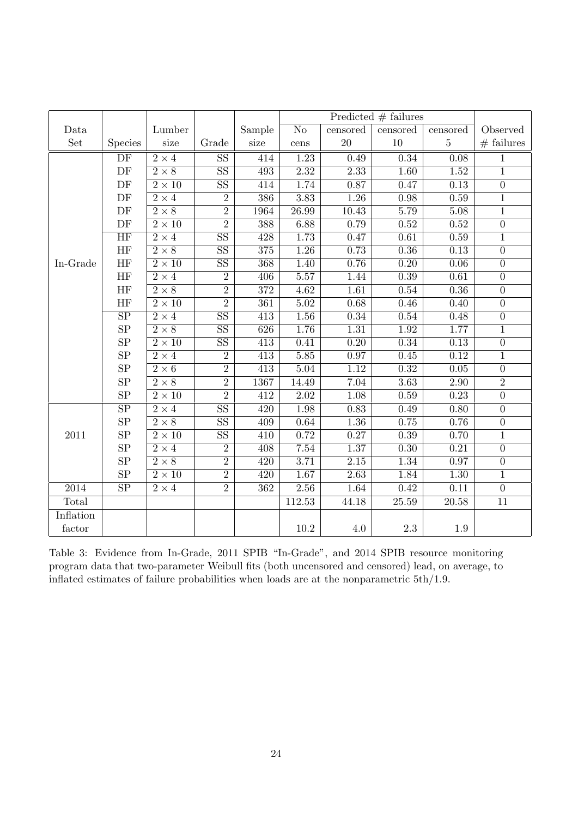|           |                        |                        |                        |                  |                        | Predicted $#$ failures |                   |                   |                  |
|-----------|------------------------|------------------------|------------------------|------------------|------------------------|------------------------|-------------------|-------------------|------------------|
| Data      |                        | Lumber                 |                        | Sample           | $\overline{\text{No}}$ | censored               | censored          | censored          | Observed         |
| Set       | <b>Species</b>         | size                   | Grade                  | size             | $cens$                 | $20\,$                 | $10\,$            | $\bf 5$           | $#$ failures     |
|           | $\rm DF$               | $2\times 4$            | $\overline{\text{SS}}$ | 414              | 1.23                   | 0.49                   | 0.34              | 0.08              | $\mathbf{1}$     |
|           | $\rm DF$               | $\overline{2\times8}$  | $\overline{\text{SS}}$ | 493              | $\overline{2.32}$      | 2.33                   | $\overline{1.60}$ | $\overline{1.52}$ | $\overline{1}$   |
|           | DF                     | $\overline{2\times10}$ | $\overline{\text{SS}}$ | 414              | 1.74                   | 0.87                   | 0.47              | 0.13              | $\overline{0}$   |
|           | DF                     | $2\times 4$            | $\overline{2}$         | 386              | $\overline{3.83}$      | $\overline{1.26}$      | 0.98              | 0.59              | $\overline{1}$   |
|           | DF                     | $\overline{2\times8}$  | $\overline{2}$         | 1964             | $\overline{26.99}$     | 10.43                  | 5.79              | $\overline{5.08}$ | $\overline{1}$   |
|           | DF                     | $2\times10$            | $\overline{2}$         | 388              | 6.88                   | 0.79                   | 0.52              | $0.52\,$          | $\boldsymbol{0}$ |
|           | HF                     | $2 \times 4$           | $\overline{\text{SS}}$ | 428              | 1.73                   | 0.47                   | 0.61              | 0.59              | $\mathbf{1}$     |
|           | HF                     | $2\times 8$            | SS                     | $\overline{375}$ | 1.26                   | 0.73                   | 0.36              | 0.13              | $\overline{0}$   |
| In-Grade  | HF                     | $2\times10$            | $\overline{\text{SS}}$ | 368              | 1.40                   | 0.76                   | 0.20              | 0.06              | $\overline{0}$   |
|           | HF                     | $2\times 4$            | $\overline{2}$         | 406              | 5.57                   | 1.44                   | 0.39              | $\overline{0.61}$ | $\boldsymbol{0}$ |
|           | HF                     | $\overline{2\times8}$  | $\overline{2}$         | $\overline{372}$ | $\overline{4.62}$      | $\overline{1.61}$      | 0.54              | 0.36              | $\overline{0}$   |
|           | HF                     | $2\times10$            | $\overline{2}$         | 361              | $5.02\,$               | 0.68                   | 0.46              | 0.40              | $\overline{0}$   |
|           | $\overline{\text{SP}}$ | $2\times 4$            | $\overline{\text{SS}}$ | $\overline{413}$ | $\overline{1.56}$      | 0.34                   | $0.54\,$          | 0.48              | $\boldsymbol{0}$ |
|           | SP                     | $2\times 8$            | SS                     | 626              | 1.76                   | $\overline{1.31}$      | 1.92              | 1.77              | $\mathbf{1}$     |
|           | ${\rm SP}$             | $2\times10$            | SS                     | $\overline{413}$ | $\overline{0.41}$      | $\overline{0.20}$      | 0.34              | $\overline{0.13}$ | $\overline{0}$   |
|           | SP                     | $2\times 4$            | $\overline{2}$         | 413              | 5.85                   | 0.97                   | 0.45              | 0.12              | $\mathbf{1}$     |
|           | SP                     | $\overline{2\times 6}$ | $\overline{2}$         | $\overline{413}$ | 5.04                   | 1.12                   | 0.32              | $\overline{0.05}$ | $\overline{0}$   |
|           | ${\rm SP}$             | $2 \times 8$           | $\overline{2}$         | 1367             | 14.49                  | 7.04                   | 3.63              | $2.90\,$          | $\overline{2}$   |
|           | SP                     | $2\times10$            | $\overline{2}$         | 412              | 2.02                   | $\overline{1.08}$      | 0.59              | 0.23              | $\overline{0}$   |
|           | $\overline{\text{SP}}$ | $2\times 4$            | $\overline{\text{SS}}$ | 420              | 1.98                   | 0.83                   | 0.49              | 0.80              | $\overline{0}$   |
|           | SP                     | $2 \times 8$           | $\overline{\text{SS}}$ | 409              | 0.64                   | 1.36                   | 0.75              | 0.76              | $\overline{0}$   |
| $2011\,$  | SP                     | $2 \times 10$          | $\overline{\text{SS}}$ | $\overline{410}$ | 0.72                   | 0.27                   | 0.39              | 0.70              | $\overline{1}$   |
|           | SP                     | $2\times 4$            | $\overline{2}$         | 408              | 7.54                   | 1.37                   | 0.30              | $\overline{0.21}$ | $\overline{0}$   |
|           | SP                     | $2\times8$             | $\overline{2}$         | $\overline{420}$ | 3.71                   | 2.15                   | 1.34              | 0.97              | $\overline{0}$   |
|           | SP                     | $2\times10$            | $\overline{2}$         | $\overline{420}$ | $\overline{1.67}$      | 2.63                   | 1.84              | 1.30              | $\overline{1}$   |
| 2014      | SP                     | $2\times 4$            | $\overline{2}$         | 362              | $2.56\,$               | 1.64                   | 0.42              | 0.11              | $\overline{0}$   |
| Total     |                        |                        |                        |                  | 112.53                 | 44.18                  | 25.59             | 20.58             | $11\,$           |
| Inflation |                        |                        |                        |                  |                        |                        |                   |                   |                  |
| factor    |                        |                        |                        |                  | $10.2\,$               | $4.0\,$                | $2.3\,$           | $1.9\,$           |                  |

Table 3: Evidence from In-Grade, 2011 SPIB "In-Grade", and 2014 SPIB resource monitoring program data that two-parameter Weibull fits (both uncensored and censored) lead, on average, to inflated estimates of failure probabilities when loads are at the nonparametric 5th/1.9.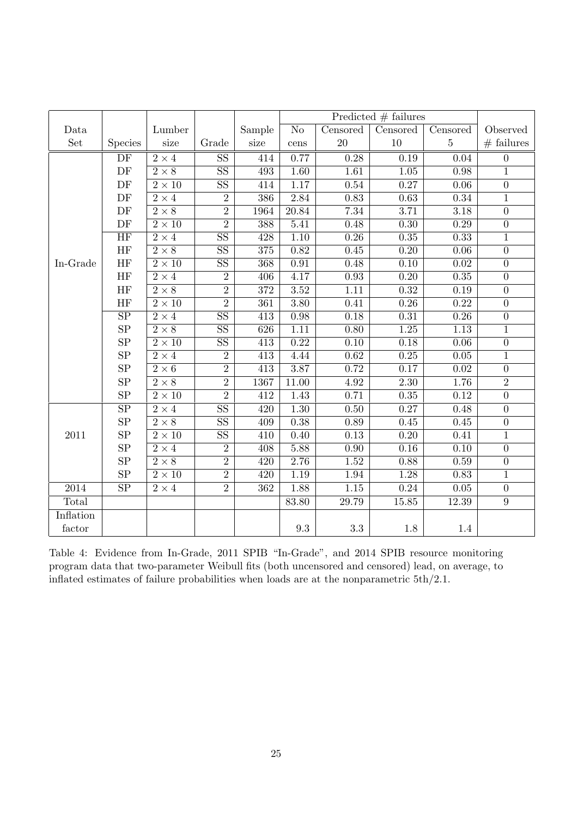|           |                        |                        |                        |                  |                    | Predicted $#$ failures |                   |                   |                  |
|-----------|------------------------|------------------------|------------------------|------------------|--------------------|------------------------|-------------------|-------------------|------------------|
| Data      |                        | Lumber                 |                        | Sample           | N <sub>o</sub>     | Censored               | Censored          | Censored          | Observed         |
| Set       | <b>Species</b>         | size                   | Grade                  | size             | cens               | $20\,$                 | 10                | $\bf 5$           | $#$ failures     |
|           | DF                     | $2\times 4$            | $\overline{\text{SS}}$ | 414              | 0.77               | 0.28                   | 0.19              | 0.04              | $\boldsymbol{0}$ |
|           | DF                     | $2 \times 8$           | $\overline{\text{SS}}$ | 493              | 1.60               | $\overline{1.61}$      | $\overline{1.05}$ | 0.98              | $\overline{1}$   |
|           | DF                     | $2\times10$            | $\overline{\text{SS}}$ | 414              | 1.17               | 0.54                   | 0.27              | 0.06              | $\overline{0}$   |
|           | DF                     | $2\times 4$            | $\overline{2}$         | 386              | 2.84               | 0.83                   | 0.63              | 0.34              | $\overline{1}$   |
|           | DF                     | $\overline{2\times8}$  | $\overline{2}$         | 1964             | $\overline{20.84}$ | 7.34                   | $\overline{3.71}$ | $\overline{3.18}$ | $\overline{0}$   |
|           | DF                     | $\overline{2\times10}$ | $\overline{2}$         | 388              | 5.41               | 0.48                   | 0.30              | 0.29              | $\overline{0}$   |
|           | <b>HF</b>              | $2\times 4$            | $\overline{\text{SS}}$ | 428              | $1.10\,$           | $\overline{0.26}$      | $\overline{0.35}$ | 0.33              | $\overline{1}$   |
|           | HF                     | $2 \times 8$           | SS                     | 375              | 0.82               | 0.45                   | $\overline{0.20}$ | $\overline{0.06}$ | $\overline{0}$   |
| In-Grade  | HF                     | $2 \times 10$          | $\overline{\text{SS}}$ | 368              | 0.91               | 0.48                   | 0.10              | 0.02              | $\overline{0}$   |
|           | HF                     | $2 \times 4$           | $\overline{2}$         | 406              | 4.17               | 0.93                   | 0.20              | 0.35              | $\boldsymbol{0}$ |
|           | <b>HF</b>              | $\overline{2\times8}$  | $\overline{2}$         | $\overline{372}$ | $\overline{3.52}$  | $\overline{1.11}$      | 0.32              | 0.19              | $\overline{0}$   |
|           | <b>HF</b>              | $\overline{2\times10}$ | $\overline{2}$         | $\overline{361}$ | $\overline{3.80}$  | 0.41                   | 0.26              | 0.22              | $\overline{0}$   |
|           | $\overline{\text{SP}}$ | $2\times 4$            | $\overline{\text{SS}}$ | $\overline{413}$ | $\rm 0.98$         | 0.18                   | 0.31              | 0.26              | $\boldsymbol{0}$ |
|           | SP                     | $2 \times 8$           | $\overline{\text{SS}}$ | 626              | 1.11               | $\overline{0.80}$      | $\overline{1.25}$ | $\overline{1.13}$ | $\overline{1}$   |
|           | SP                     | $2\times10$            | SS                     | $\overline{413}$ | 0.22               | $\overline{0.10}$      | 0.18              | $\overline{0.06}$ | $\overline{0}$   |
|           | SP                     | $2\times 4$            | $\overline{2}$         | 413              | 4.44               | 0.62                   | 0.25              | 0.05              | $\mathbf{1}$     |
|           | SP                     | $2\times 6$            | $\overline{2}$         | 413              | 3.87               | 0.72                   | 0.17              | 0.02              | $\overline{0}$   |
|           | SP                     | $\overline{2\times8}$  | $\overline{2}$         | 1367             | 11.00              | 4.92                   | $\overline{2.30}$ | 1.76              | $\overline{2}$   |
|           | SP                     | $\overline{2\times10}$ | $\overline{2}$         | $\overline{412}$ | 1.43               | 0.71                   | 0.35              | 0.12              | $\overline{0}$   |
|           | $\overline{\text{SP}}$ | $2\times 4$            | $\overline{\text{SS}}$ | 420              | $1.30\,$           | $0.50\,$               | 0.27              | 0.48              | $\boldsymbol{0}$ |
|           | SP                     | $2 \times 8$           | SS                     | 409              | 0.38               | 0.89                   | 0.45              | 0.45              | $\overline{0}$   |
| $2011\,$  | SP                     | $2 \times 10$          | $\overline{\text{SS}}$ | 410              | 0.40               | 0.13                   | 0.20              | 0.41              | $\overline{1}$   |
|           | SP                     | $2 \times 4$           | $\overline{2}$         | 408              | 5.88               | 0.90                   | 0.16              | 0.10              | $\overline{0}$   |
|           | ${\rm SP}$             | $2 \times 8$           | $\overline{2}$         | 420              | 2.76               | 1.52                   | 0.88              | 0.59              | $\overline{0}$   |
|           | SP                     | $\overline{2\times10}$ | $\overline{2}$         | $\overline{420}$ | 1.19               | 1.94                   | 1.28              | 0.83              | $\overline{1}$   |
| 2014      | SP                     | $2\times 4$            | $\overline{2}$         | 362              | 1.88               | $1.15\,$               | $0.24\,$          | $0.05\,$          | $\boldsymbol{0}$ |
| Total     |                        |                        |                        |                  | 83.80              | 29.79                  | $15.85\,$         | 12.39             | $\boldsymbol{9}$ |
| Inflation |                        |                        |                        |                  |                    |                        |                   |                   |                  |
| factor    |                        |                        |                        |                  | $\rm 9.3$          | $3.3\,$                | 1.8               | 1.4               |                  |

Table 4: Evidence from In-Grade, 2011 SPIB "In-Grade", and 2014 SPIB resource monitoring program data that two-parameter Weibull fits (both uncensored and censored) lead, on average, to inflated estimates of failure probabilities when loads are at the nonparametric 5th/2.1.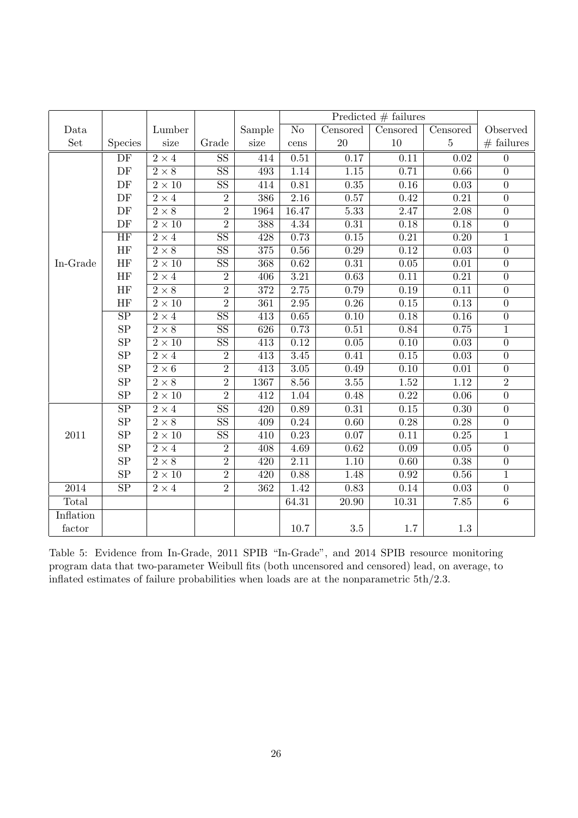|           |                        |                        |                        |                  |                   | Predicted $#$ failures |                   |                   |                  |
|-----------|------------------------|------------------------|------------------------|------------------|-------------------|------------------------|-------------------|-------------------|------------------|
| Data      |                        | Lumber                 |                        | Sample           | N <sub>o</sub>    | Censored               | Censored          | Censored          | Observed         |
| Set       | <b>Species</b>         | size                   | Grade                  | size             | cens              | $20\,$                 | $10\,$            | $\bf 5$           | $#$ failures     |
|           | DF                     | $2\times 4$            | $\overline{\text{SS}}$ | 414              | 0.51              | 0.17                   | 0.11              | 0.02              | $\overline{0}$   |
|           | $\rm DF$               | $\overline{2\times8}$  | $\overline{\text{SS}}$ | 493              | 1.14              | $\overline{1.15}$      | 0.71              | 0.66              | $\overline{0}$   |
|           | DF                     | $2 \times 10$          | $\overline{\text{SS}}$ | 414              | 0.81              | 0.35                   | 0.16              | 0.03              | $\overline{0}$   |
|           | DF                     | $2 \times 4$           | $\overline{2}$         | 386              | 2.16              | 0.57                   | 0.42              | 0.21              | $\overline{0}$   |
|           | DF                     | $2 \times 8$           | $\overline{2}$         | 1964             | 16.47             | $\overline{5.33}$      | 2.47              | $\overline{2.08}$ | $\overline{0}$   |
|           | DF                     | $2\times10$            | $\overline{2}$         | 388              | 4.34              | $\overline{0.31}$      | $\overline{0.18}$ | 0.18              | $\overline{0}$   |
|           | HF                     | $2 \times 4$           | $\overline{\text{SS}}$ | 428              | 0.73              | $\overline{0.15}$      | $\overline{0.21}$ | 0.20              | $\overline{1}$   |
|           | HF                     | $\overline{2\times8}$  | SS                     | 375              | 0.56              | 0.29                   | 0.12              | $\overline{0.03}$ | $\overline{0}$   |
| In-Grade  | HF                     | $2\times10$            | $\overline{\text{SS}}$ | 368              | 0.62              | 0.31                   | 0.05              | 0.01              | $\overline{0}$   |
|           | HF                     | $2 \times 4$           | $\overline{2}$         | 406              | $\overline{3.21}$ | 0.63                   | 0.11              | 0.21              | $\boldsymbol{0}$ |
|           | HF                     | $\overline{2\times8}$  | $\overline{2}$         | $\overline{372}$ | 2.75              | 0.79                   | 0.19              | 0.11              | $\overline{0}$   |
|           | HF                     | $\overline{2\times10}$ | $\overline{2}$         | $\overline{361}$ | $\overline{2.95}$ | 0.26                   | 0.15              | 0.13              | $\overline{0}$   |
|           | $\overline{\text{SP}}$ | $\overline{2\times 4}$ | $\overline{\text{SS}}$ | 413              | 0.65              | 0.10                   | $0.18\,$          | 0.16              | $\boldsymbol{0}$ |
|           | SP                     | $2 \times 8$           | $\overline{\text{SS}}$ | 626              | 0.73              | $\overline{0.51}$      | 0.84              | 0.75              | $\overline{1}$   |
|           | SP                     | $2\times10$            | SS                     | $\overline{413}$ | 0.12              | $\overline{0.05}$      | $\overline{0.10}$ | $\overline{0.03}$ | $\overline{0}$   |
|           | SP                     | $2\times 4$            | $\overline{2}$         | 413              | 3.45              | 0.41                   | 0.15              | 0.03              | $\overline{0}$   |
|           | SP                     | $2\times 6$            | $\overline{2}$         | 413              | $3.05\,$          | 0.49                   | $0.10\,$          | $0.01\,$          | $\boldsymbol{0}$ |
|           | SP                     | $2 \times 8$           | $\overline{2}$         | 1367             | 8.56              | 3.55                   | $\overline{1.52}$ | 1.12              | $\overline{2}$   |
|           | SP                     | $2\times10$            | $\overline{2}$         | 412              | $\overline{1.04}$ | 0.48                   | 0.22              | $\overline{0.06}$ | $\overline{0}$   |
|           | $\overline{\text{SP}}$ | $2\times 4$            | $\overline{\text{SS}}$ | 420              | 0.89              | $0.31\,$               | $0.15\,$          | 0.30              | $\boldsymbol{0}$ |
|           | ${\rm SP}$             | $2 \times 8$           | SS                     | 409              | 0.24              | $\overline{0.60}$      | $\overline{0.28}$ | 0.28              | $\overline{0}$   |
| $2011\,$  | SP                     | $2 \times 10$          | $\overline{\text{SS}}$ | 410              | 0.23              | 0.07                   | 0.11              | 0.25              | $\overline{1}$   |
|           | SP                     | $2 \times 4$           | $\overline{2}$         | 408              | 4.69              | 0.62                   | 0.09              | $0.05\,$          | $\boldsymbol{0}$ |
|           | ${\rm SP}$             | $\overline{2\times8}$  | $\overline{2}$         | 420              | $\overline{2.11}$ | $\overline{1.10}$      | 0.60              | 0.38              | $\overline{0}$   |
|           | SP                     | $2\times10$            | $\overline{2}$         | $\overline{420}$ | 0.88              | 1.48                   | 0.92              | 0.56              | $\overline{1}$   |
| 2014      | $\overline{\text{SP}}$ | $2\times 4$            | $\overline{2}$         | 362              | 1.42              | 0.83                   | 0.14              | 0.03              | $\boldsymbol{0}$ |
| Total     |                        |                        |                        |                  | 64.31             | 20.90                  | 10.31             | 7.85              | $\overline{6}$   |
| Inflation |                        |                        |                        |                  |                   |                        |                   |                   |                  |
| factor    |                        |                        |                        |                  | $10.7\,$          | $3.5\,$                | $1.7\,$           | $1.3\,$           |                  |

Table 5: Evidence from In-Grade, 2011 SPIB "In-Grade", and 2014 SPIB resource monitoring program data that two-parameter Weibull fits (both uncensored and censored) lead, on average, to inflated estimates of failure probabilities when loads are at the nonparametric 5th/2.3.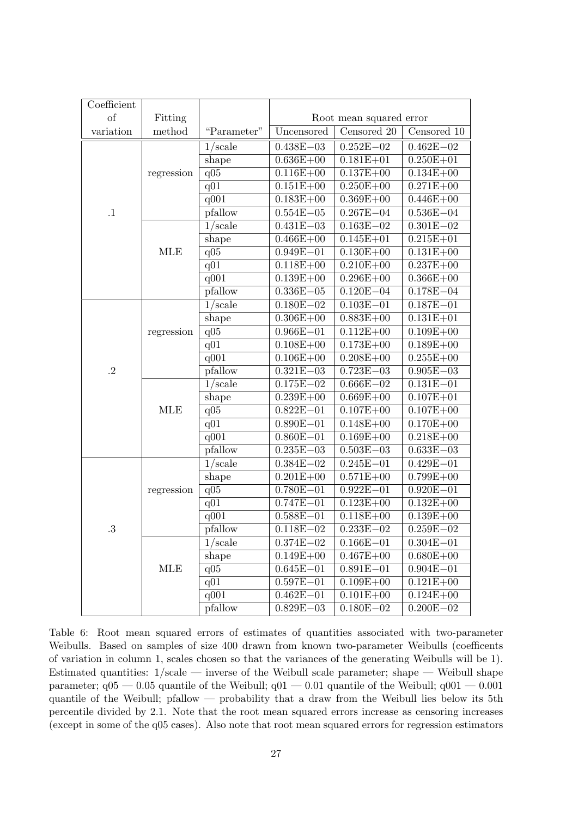| Coefficient          |            |                  |                        |                         |               |
|----------------------|------------|------------------|------------------------|-------------------------|---------------|
| of                   | Fitting    |                  |                        | Root mean squared error |               |
| variation            | method     | "Parameter"      | Uncensored             | Censored 20             | Censored 10   |
|                      |            | $1/\text{scale}$ | $0.438E - 03$          | $0.252E - 02$           | $0.462E - 02$ |
|                      |            | shape            | $0.636E + 00$          | $0.181E + 01$           | $0.250E + 01$ |
|                      | regression | q05              | $0.116E + 00$          | $0.137E + 00$           | $0.134E + 00$ |
|                      |            | $\overline{q01}$ | $0.151E + 00$          | $0.250E + 00$           | $0.271E + 00$ |
|                      |            | q001             | $0.183E + 00$          | $0.369E + 00$           | $0.446E + 00$ |
| $\cdot$ 1            |            | pfallow          | $0.554E - 05$          | $0.267E - 04$           | $0.536E - 04$ |
|                      |            | $1/\text{scale}$ | $0.431E - 03$          | $0.163E - 02$           | $0.301E - 02$ |
|                      |            | shape            | $0.466E + 00$          | $0.145E + 01$           | $0.215E + 01$ |
|                      | <b>MLE</b> | q05              | $0.949E - 01$          | $0.130E + 00$           | $0.131E + 00$ |
|                      |            | q <sub>01</sub>  | $0.118E + 00$          | $0.210E + 00$           | $0.237E + 00$ |
|                      |            | q001             | $0.139E + 00$          | $0.296E + 00$           | $0.366E + 00$ |
|                      |            | pfallow          | $0.336E - 05$          | $0.120E - 04$           | $0.178E - 04$ |
|                      |            | $1/\text{scale}$ | $0.180E - 02$          | $0.103E - 01$           | $0.187E - 01$ |
|                      |            | shape            | $0.306E + 00$          | $0.883E + 00$           | $0.131E + 01$ |
|                      | regression | q05              | $0.966E - 01$          | $0.112E + 00$           | $0.109E + 00$ |
|                      |            | q01              | $0.108E + 00$          | $0.173E + 00$           | $0.189E + 00$ |
|                      |            | q001             | $0.106E + 00$          | $0.208E + 00$           | $0.255E + 00$ |
| $\cdot$ <sup>2</sup> |            | pfallow          | $0.321E - 03$          | $0.723E - 03$           | $0.905E - 03$ |
|                      |            | $1/\text{scale}$ | $0.175E - 02$          | $0.666E - 02$           | $0.131E - 01$ |
|                      |            | shape            | $0.239E + 00$          | $0.669E + 00$           | $0.107E + 01$ |
|                      | <b>MLE</b> | q05              | $0.822E - 01$          | $0.107E + 00$           | $0.107E + 00$ |
|                      |            | q01              | $0.890E - 01$          | $0.148E + 00$           | $0.170E + 00$ |
|                      |            | q001             | $0.860E - 01$          | $0.169E + 00$           | $0.218E + 00$ |
|                      |            | pfallow          | $0.235E - 03$          | $0.503E - 03$           | $0.633E - 03$ |
|                      |            | $1/\text{scale}$ | $0.384E - 02$          | $0.245E - 01$           | $0.429E - 01$ |
|                      |            | shape            | $0.201E + 00$          | $0.571E + 00$           | $0.799E + 00$ |
|                      | regression | q <sub>05</sub>  | $0.780E - 01$          | $0.922E - 01$           | $0.920E - 01$ |
|                      |            | q <sub>01</sub>  | $0.747E - 01$          | $0.123E + 00$           | $0.132E + 00$ |
|                      |            | q001             | $0.588E - 01$          | $0.118E + 00$           | $0.139E + 00$ |
| 3.                   |            | pfallow          | $0.118E - 02$          | $0.233E - 02$           | $0.259E - 02$ |
|                      |            | $1/\text{scale}$ | $0.374\mathrm{E}{-02}$ | $0.166E - 01$           | $0.304E - 01$ |
|                      |            | shape            | $0.149E + 00$          | $0.467E + 00$           | $0.680E + 00$ |
|                      | <b>MLE</b> | q05              | $0.645E - 01$          | $0.891E - 01$           | $0.904E - 01$ |
|                      |            | q <sub>01</sub>  | $0.597E - 01$          | $0.109E + 00$           | $0.121E + 00$ |
|                      |            | q001             | $0.462E - 01$          | $0.101E + 00$           | $0.124E + 00$ |
|                      |            | pfallow          | $0.829E - 03$          | $0.180E - 02$           | $0.200E - 02$ |

Table 6: Root mean squared errors of estimates of quantities associated with two-parameter Weibulls. Based on samples of size 400 drawn from known two-parameter Weibulls (coefficents of variation in column 1, scales chosen so that the variances of the generating Weibulls will be 1). Estimated quantities: 1/scale — inverse of the Weibull scale parameter; shape — Weibull shape parameter;  $q05 - 0.05$  quantile of the Weibull;  $q01 - 0.01$  quantile of the Weibull;  $q001 - 0.001$ quantile of the Weibull; pfallow — probability that a draw from the Weibull lies below its 5th percentile divided by 2.1. Note that the root mean squared errors increase as censoring increases (except in some of the q05 cases). Also note that root mean squared errors for regression estimators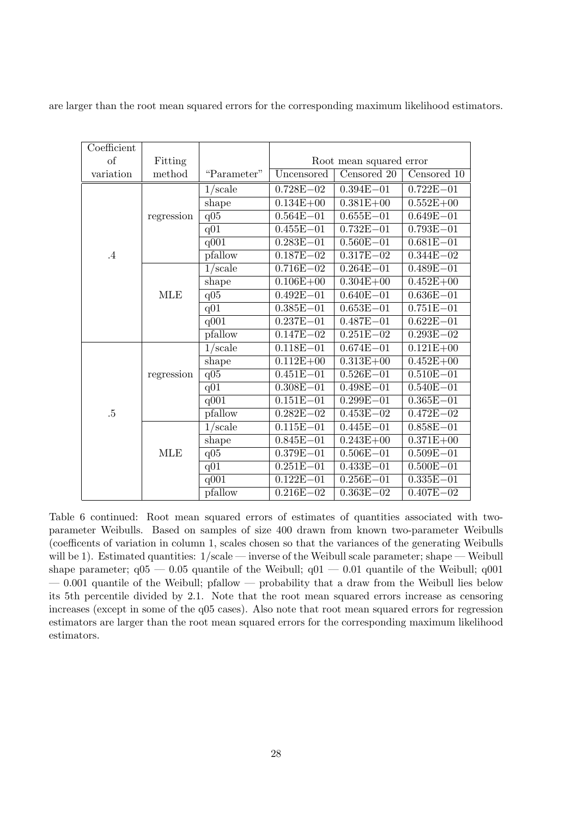are larger than the root mean squared errors for the corresponding maximum likelihood estimators.

| Coefficient |            |                  |               |                         |               |
|-------------|------------|------------------|---------------|-------------------------|---------------|
| of          | Fitting    |                  |               | Root mean squared error |               |
| variation   | method     | "Parameter"      | Uncensored    | Censored 20             | Censored 10   |
|             |            | $1/\text{scale}$ | $0.728E - 02$ | $0.394E - 01$           | $0.722E - 01$ |
|             |            | shape            | $0.134E + 00$ | $0.381E + 00$           | $0.552E + 00$ |
|             | regression | $q\overline{05}$ | $0.564E - 01$ | $0.655E - 01$           | $0.649E - 01$ |
|             |            | q <sub>01</sub>  | $0.455E - 01$ | $0.732E - 01$           | $0.793E - 01$ |
|             |            | q001             | $0.283E - 01$ | $0.560E - 01$           | $0.681E - 01$ |
| $\cdot$ 4   |            | pfallow          | $0.187E - 02$ | $0.317E - 02$           | $0.344E - 02$ |
|             |            | $1/\text{scale}$ | $0.716E - 02$ | $0.264E - 01$           | $0.489E - 01$ |
|             |            | shape            | $0.106E + 00$ | $0.304E + 00$           | $0.452E + 00$ |
|             | <b>MLE</b> | q <sub>05</sub>  | $0.492E - 01$ | $0.640E - 01$           | $0.636E - 01$ |
|             |            | q01              | $0.385E - 01$ | $0.653E - 01$           | $0.751E - 01$ |
|             |            | q001             | $0.237E - 01$ | $0.487E - 01$           | $0.622E - 01$ |
|             |            | pfallow          | $0.147E - 02$ | $0.251E - 02$           | $0.293E - 02$ |
|             |            | $1/\text{scale}$ | $0.118E - 01$ | $0.674E - 01$           | $0.121E + 00$ |
|             |            | shape            | $0.112E + 00$ | $0.313E + 00$           | $0.452E + 00$ |
|             | regression | q05              | $0.451E - 01$ | $0.526E - 01$           | $0.510E - 01$ |
|             |            | q01              | $0.308E - 01$ | $0.498E - 01$           | $0.540E - 01$ |
|             |            | q001             | $0.151E - 01$ | $0.299E - 01$           | $0.365E - 01$ |
| $.5\,$      |            | pfallow          | $0.282E - 02$ | $0.453E - 02$           | $0.472E - 02$ |
|             |            | $1/\text{scale}$ | $0.115E - 01$ | $0.445E - 01$           | $0.858E - 01$ |
|             |            | shape            | $0.845E - 01$ | $0.243E + 00$           | $0.371E + 00$ |
|             | <b>MLE</b> | q05              | $0.379E - 01$ | $0.506E - 01$           | $0.509E - 01$ |
|             |            | q01              | $0.251E - 01$ | $0.433E - 01$           | $0.500E - 01$ |
|             |            | q001             | $0.122E - 01$ | $0.256E - 01$           | $0.335E - 01$ |
|             |            | pfallow          | $0.216E - 02$ | $0.363E - 02$           | $0.407E - 02$ |

Table 6 continued: Root mean squared errors of estimates of quantities associated with twoparameter Weibulls. Based on samples of size 400 drawn from known two-parameter Weibulls (coefficents of variation in column 1, scales chosen so that the variances of the generating Weibulls will be 1). Estimated quantities:  $1/\text{scale}$  — inverse of the Weibull scale parameter; shape — Weibull shape parameter;  $q05 - 0.05$  quantile of the Weibull;  $q01 - 0.01$  quantile of the Weibull;  $q001$  $-0.001$  quantile of the Weibull; pfallow  $-$  probability that a draw from the Weibull lies below its 5th percentile divided by 2.1. Note that the root mean squared errors increase as censoring increases (except in some of the q05 cases). Also note that root mean squared errors for regression estimators are larger than the root mean squared errors for the corresponding maximum likelihood estimators.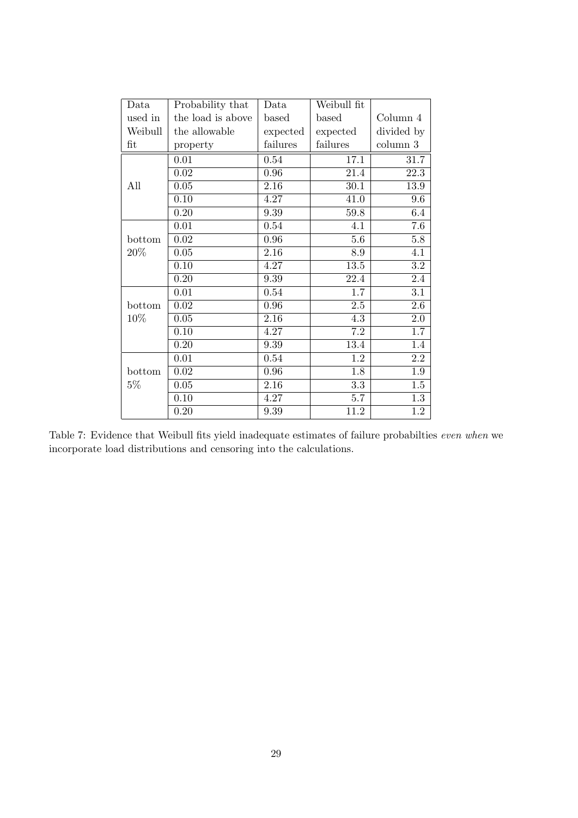| Data    | Probability that  | Data              | Weibull fit       |                  |
|---------|-------------------|-------------------|-------------------|------------------|
| used in | the load is above | based             | based             | Column $4$       |
| Weibull | the allowable     | expected          | expected          | divided by       |
| fit     | property          | failures          | failures          | column 3         |
|         | 0.01              | 0.54              | 17.1              | 31.7             |
|         | 0.02              | 0.96              | 21.4              | 22.3             |
| All     | 0.05              | 2.16              | 30.1              | 13.9             |
|         | 0.10              | 4.27              | 41.0              | 9.6              |
|         | 0.20              | 9.39              | 59.8              | 6.4              |
|         | 0.01              | 0.54              | 4.1               | 7.6              |
| bottom  | 0.02              | 0.96              | 5.6               | 5.8              |
| $20\%$  | 0.05              | $\overline{2.16}$ | 8.9               | $\overline{4.1}$ |
|         | 0.10              | 4.27              | $\overline{13.5}$ | $\overline{3.2}$ |
|         | 0.20              | 9.39              | 22.4              | 2.4              |
|         | 0.01              | 0.54              | 1.7               | 3.1              |
| bottom  | 0.02              | 0.96              | $2.5\,$           | 2.6              |
| 10%     | 0.05              | 2.16              | 4.3               | 2.0              |
|         | 0.10              | 4.27              | 7.2               | 1.7              |
|         | 0.20              | 9.39              | 13.4              | 1.4              |
|         | 0.01              | 0.54              | 1.2               | 2.2              |
| bottom  | $0.02\,$          | 0.96              | 1.8               | 1.9              |
| $5\%$   | 0.05              | 2.16              | 3.3               | $1.5\,$          |
|         | 0.10              | 4.27              | 5.7               | $\overline{1.3}$ |
|         | 0.20              | 9.39              | 11.2              | 1.2              |

Table 7: Evidence that Weibull fits yield inadequate estimates of failure probabilties *even when* we incorporate load distributions and censoring into the calculations.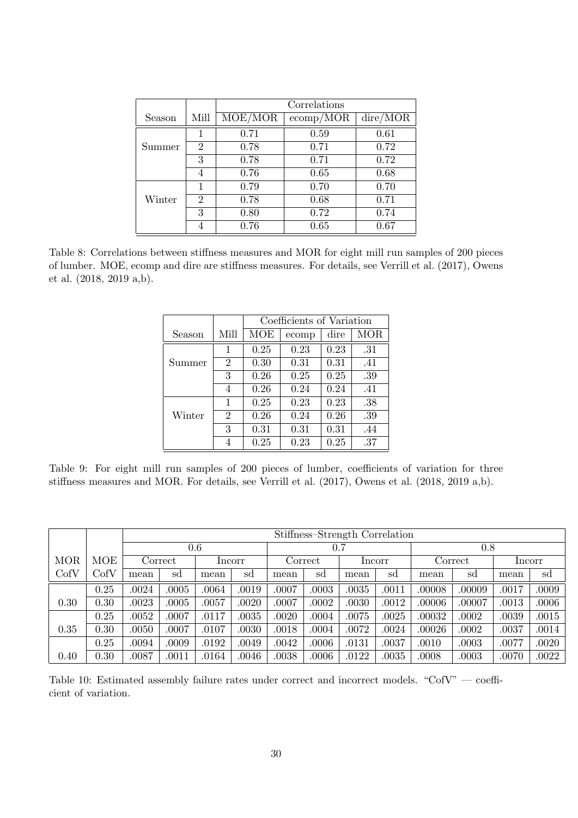|        |                | Correlations |                        |      |  |  |  |  |
|--------|----------------|--------------|------------------------|------|--|--|--|--|
| Season | Mill           | MOE/MOR      | $\rm{dire} / \rm{MOR}$ |      |  |  |  |  |
|        | 1              | 0.71         | 0.59                   | 0.61 |  |  |  |  |
| Summer | 2              | 0.78         | 0.71                   | 0.72 |  |  |  |  |
|        | 3              | 0.78         | 0.71                   | 0.72 |  |  |  |  |
|        | 4              | 0.76         | 0.65                   | 0.68 |  |  |  |  |
|        | 1              | 0.79         | 0.70                   | 0.70 |  |  |  |  |
| Winter | $\overline{2}$ | 0.78         | 0.68                   | 0.71 |  |  |  |  |
|        | 3              | 0.80         | 0.72                   | 0.74 |  |  |  |  |
|        |                | 0.76         | 0.65                   | 0.67 |  |  |  |  |

Table 8: Correlations between stiffness measures and MOR for eight mill run samples of 200 pieces of lumber. MOE, ecomp and dire are stiffness measures. For details, see Verrill et al. (2017), Owens et al. (2018, 2019 a,b).

|        |                | Coefficients of Variation |       |      |      |  |  |  |
|--------|----------------|---------------------------|-------|------|------|--|--|--|
| Season | Mill           | MOE                       | ecomp | dire | MOR. |  |  |  |
|        | 1              | 0.25                      | 0.23  | 0.23 | .31  |  |  |  |
| Summer | $\overline{2}$ | 0.30                      | 0.31  | 0.31 | .41  |  |  |  |
|        | 3              | 0.26                      | 0.25  | 0.25 | .39  |  |  |  |
|        | 4              | 0.26                      | 0.24  | 0.24 | .41  |  |  |  |
|        | 1              | 0.25                      | 0.23  | 0.23 | .38  |  |  |  |
| Winter | $\overline{2}$ | 0.26                      | 0.24  | 0.26 | .39  |  |  |  |
|        | 3              | 0.31                      | 0.31  | 0.31 | .44  |  |  |  |
|        | 4              | 0.25                      | 0.23  | 0.25 | .37  |  |  |  |

Table 9: For eight mill run samples of 200 pieces of lumber, coefficients of variation for three stiffness measures and MOR. For details, see Verrill et al. (2017), Owens et al. (2018, 2019 a,b).

|            |             | Stiffness-Strength Correlation |       |       |        |         |       |        |           |         |        |        |       |
|------------|-------------|--------------------------------|-------|-------|--------|---------|-------|--------|-----------|---------|--------|--------|-------|
|            |             | 0.6                            |       |       |        | 0.7     |       |        |           | 0.8     |        |        |       |
| <b>MOR</b> | MOE         | Correct                        |       |       | Incorr | Correct |       | Incorr |           | Correct |        | Incorr |       |
| CofV       | $\rm{CofV}$ | mean                           | sd    | mean  | sd     | mean    | sd    | mean   | sd        | mean    | sd     | mean   | sd    |
|            | 0.25        | .0024                          | .0005 | 0064  | .0019  | .0007   | .0003 | .0035  | .0011     | .00008  | .00009 | .0017  | .0009 |
| 0.30       | 0.30        | .0023                          | .0005 | .0057 | .0020  | .0007   | .0002 | .0030  | .0012     | .00006  | .00007 | .0013  | .0006 |
|            | 0.25        | .0052                          | .0007 | .0117 | .0035  | .0020   | .0004 | .0075  | .0025     | .00032  | .0002  | .0039  | .0015 |
| 0.35       | 0.30        | .0050                          | .0007 | .0107 | .0030  | .0018   | .0004 | .0072  | .0024     | .00026  | .0002  | .0037  | .0014 |
|            | 0.25        | .0094                          | .0009 | .0192 | .0049  | .0042   | .0006 | .0131  | .0037     | .0010   | .0003  | .0077  | .0020 |
| 0.40       | 0.30        | .0087                          | .0011 | .0164 | .0046  | .0038   | .0006 | .0122  | $.0035\,$ | .0008   | .0003  | .0070  | .0022 |

Table 10: Estimated assembly failure rates under correct and incorrect models. "CofV" — coefficient of variation.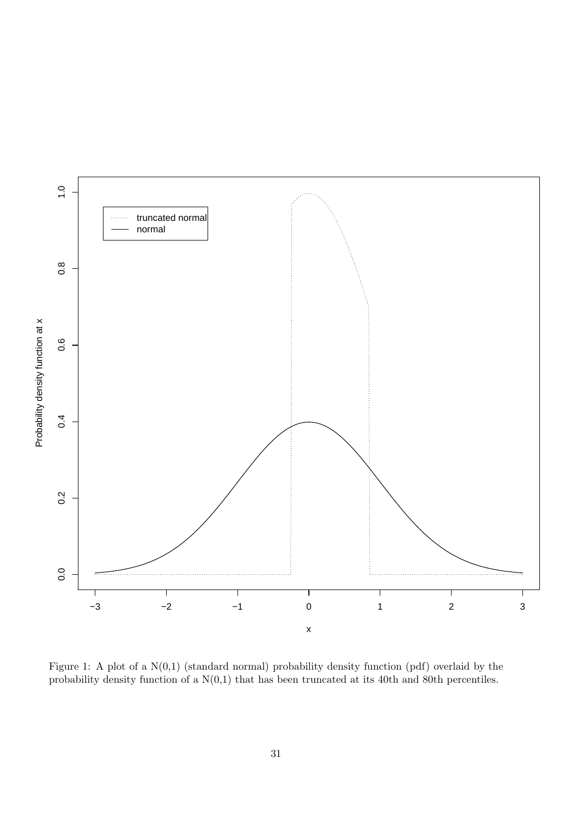

Figure 1: A plot of a N(0,1) (standard normal) probability density function (pdf) overlaid by the probability density function of a  $N(0,1)$  that has been truncated at its 40th and 80th percentiles.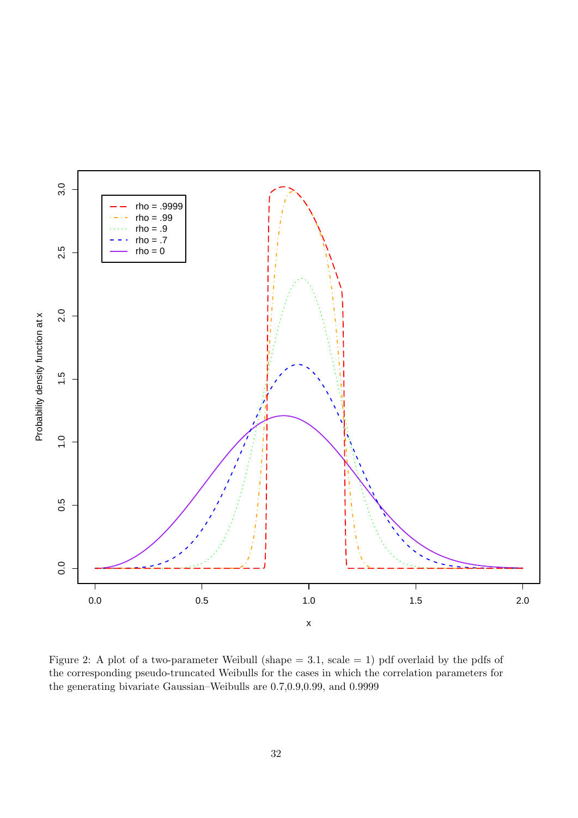

Figure 2: A plot of a two-parameter Weibull (shape = 3.1, scale = 1) pdf overlaid by the pdfs of the corresponding pseudo-truncated Weibulls for the cases in which the correlation parameters for the generating bivariate Gaussian–Weibulls are 0.7,0.9,0.99, and 0.9999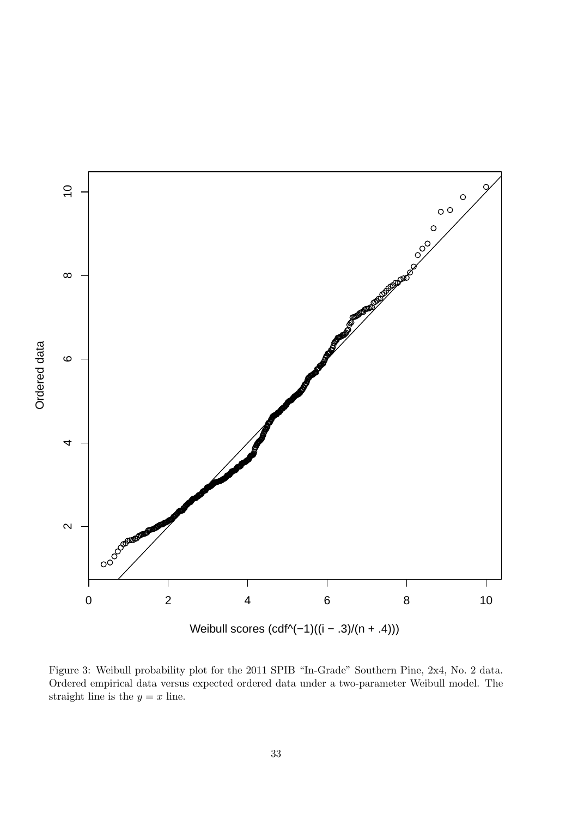

Figure 3: Weibull probability plot for the 2011 SPIB "In-Grade" Southern Pine, 2x4, No. 2 data. Ordered empirical data versus expected ordered data under a two-parameter Weibull model. The straight line is the  $y = x$  line.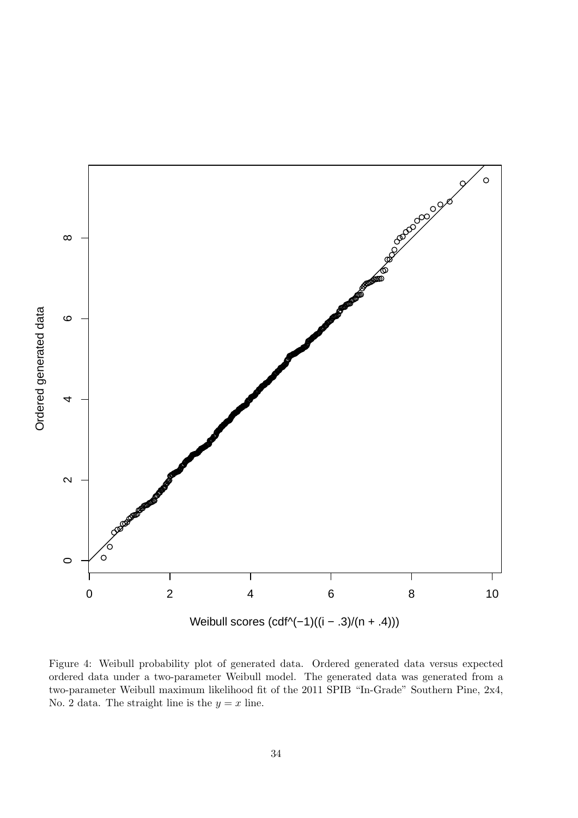

Figure 4: Weibull probability plot of generated data. Ordered generated data versus expected ordered data under a two-parameter Weibull model. The generated data was generated from a two-parameter Weibull maximum likelihood fit of the 2011 SPIB "In-Grade" Southern Pine, 2x4, No. 2 data. The straight line is the  $y = x$  line.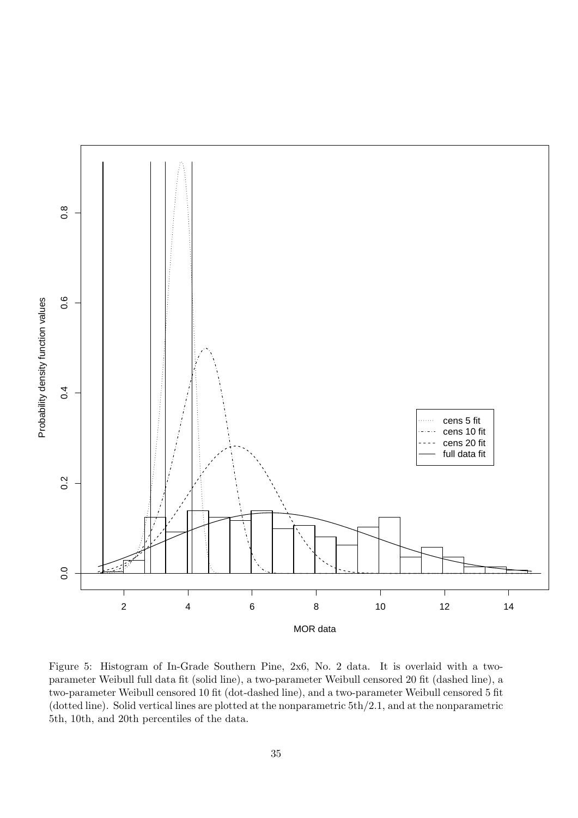

Figure 5: Histogram of In-Grade Southern Pine, 2x6, No. 2 data. It is overlaid with a twoparameter Weibull full data fit (solid line), a two-parameter Weibull censored 20 fit (dashed line), a two-parameter Weibull censored 10 fit (dot-dashed line), and a two-parameter Weibull censored 5 fit (dotted line). Solid vertical lines are plotted at the nonparametric 5th/2.1, and at the nonparametric 5th, 10th, and 20th percentiles of the data.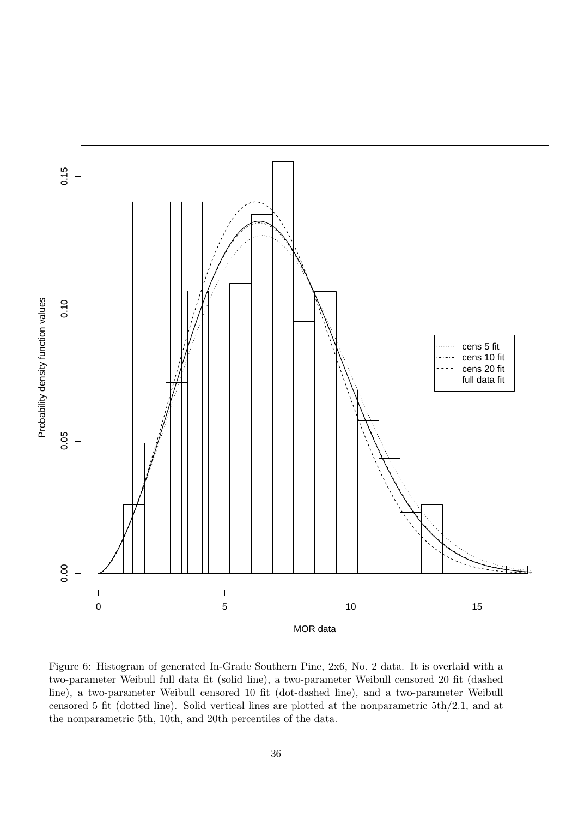

Figure 6: Histogram of generated In-Grade Southern Pine, 2x6, No. 2 data. It is overlaid with a two-parameter Weibull full data fit (solid line), a two-parameter Weibull censored 20 fit (dashed line), a two-parameter Weibull censored 10 fit (dot-dashed line), and a two-parameter Weibull censored 5 fit (dotted line). Solid vertical lines are plotted at the nonparametric 5th/2.1, and at the nonparametric 5th, 10th, and 20th percentiles of the data.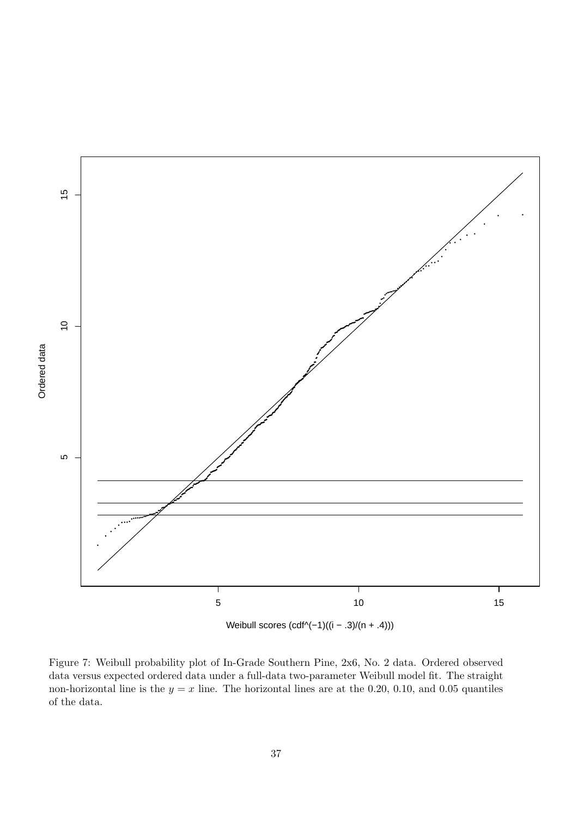

Weibull scores (cdf^(-1)((i - .3)/(n + .4)))

Figure 7: Weibull probability plot of In-Grade Southern Pine, 2x6, No. 2 data. Ordered observed data versus expected ordered data under a full-data two-parameter Weibull model fit. The straight non-horizontal line is the  $y = x$  line. The horizontal lines are at the 0.20, 0.10, and 0.05 quantiles of the data.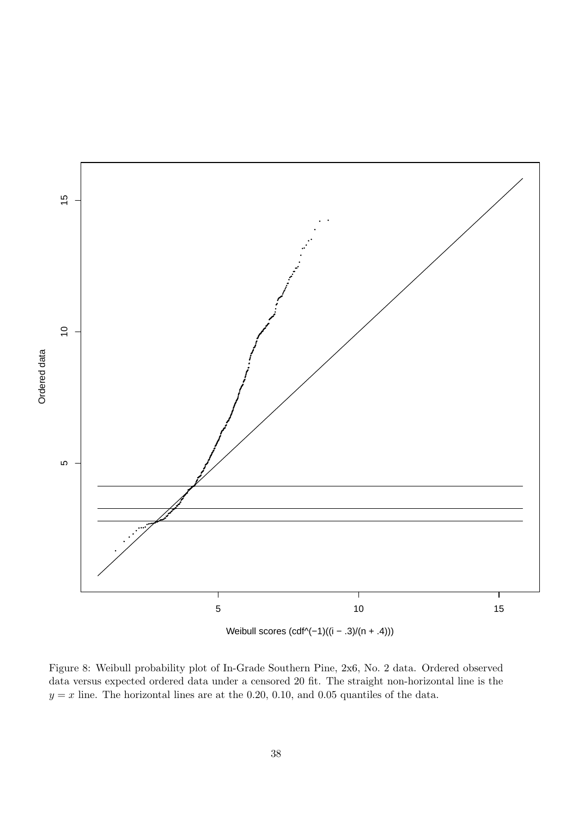

Figure 8: Weibull probability plot of In-Grade Southern Pine, 2x6, No. 2 data. Ordered observed data versus expected ordered data under a censored 20 fit. The straight non-horizontal line is the  $y = x$  line. The horizontal lines are at the 0.20, 0.10, and 0.05 quantiles of the data.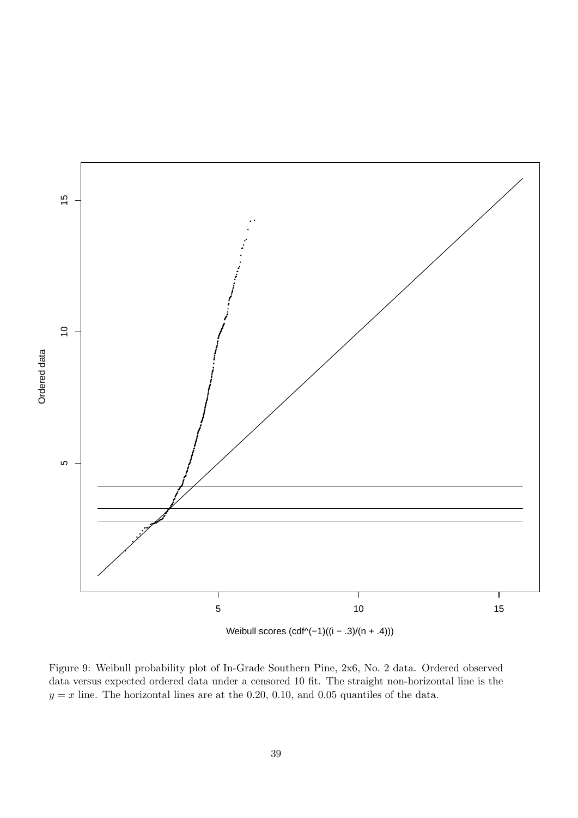

Figure 9: Weibull probability plot of In-Grade Southern Pine, 2x6, No. 2 data. Ordered observed data versus expected ordered data under a censored 10 fit. The straight non-horizontal line is the  $y = x$  line. The horizontal lines are at the 0.20, 0.10, and 0.05 quantiles of the data.